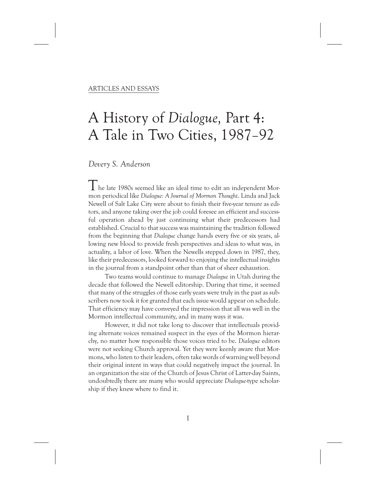# A History of Dialogue, Part 4: A Tale in Two Cities, 1987-92

# *Devery S. Anderson*

The late 1980s seemed like an ideal time to edit an independent Mormon periodical like *Dialogue: A Journal of Mormon Thought*. Linda and Jack Newell of Salt Lake City were about to finish their five-year tenure as editors, and anyone taking over the job could foresee an efficient and successful operation ahead by just continuing what their predecessors had established. Crucial to that success was maintaining the tradition followed from the beginning that *Dialogue* change hands every five or six years, allowing new blood to provide fresh perspectives and ideas to what was, in actuality, a labor of love. When the Newells stepped down in 1987, they, like their predecessors, looked forward to enjoying the intellectual insights in the journal from a standpoint other than that of sheer exhaustion.

Two teams would continue to manage *Dialogue* in Utah during the decade that followed the Newell editorship. During that time, it seemed that many of the struggles of those early years were truly in the past as subscribers now took it for granted that each issue would appear on schedule. That efficiency may have conveyed the impression that all was well in the Mormon intellectual community, and in many ways it was.

However, it did not take long to discover that intellectuals providing alternate voices remained suspect in the eyes of the Mormon hierarchy, no matter how responsible those voices tried to be. *Dialogue* editors were not seeking Church approval. Yet they were keenly aware that Mormons, who listen to their leaders, often take words of warning well beyond their original intent in ways that could negatively impact the journal. In an organization the size of the Church of Jesus Christ of Latter-day Saints, undoubtedly there are many who would appreciate *Dialogue-*type scholarship if they knew where to find it.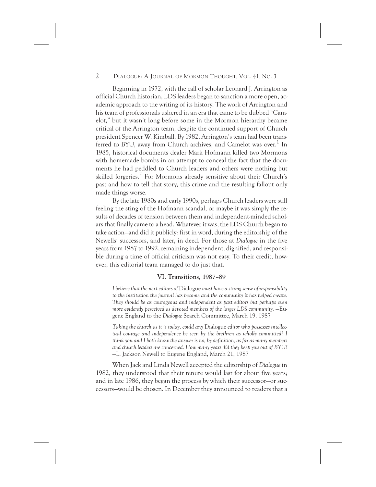Beginning in 1972, with the call of scholar Leonard J. Arrington as official Church historian, LDS leaders began to sanction a more open, academic approach to the writing of its history. The work of Arrington and his team of professionals ushered in an era that came to be dubbed "Camelot," but it wasn't long before some in the Mormon hierarchy became critical of the Arrington team, despite the continued support of Church president Spencer W. Kimball. By 1982, Arrington's team had been transferred to BYU, away from Church archives, and Camelot was over.<sup>1</sup> In 1985, historical documents dealer Mark Hofmann killed two Mormons with homemade bombs in an attempt to conceal the fact that the documents he had peddled to Church leaders and others were nothing but skilled forgeries.<sup>2</sup> For Mormons already sensitive about their Church's past and how to tell that story, this crime and the resulting fallout only made things worse.

By the late 1980s and early 1990s, perhaps Church leaders were still feeling the sting of the Hofmann scandal, or maybe it was simply the results of decades of tension between them and independent-minded scholars that finally came to a head. Whatever it was, the LDS Church began to take action—and did it publicly: first in word, during the editorship of the Newells' successors, and later, in deed. For those at *Dialogue* in the five years from 1987 to 1992, remaining independent, dignified, and responsible during a time of official criticism was not easy. To their credit, however, this editorial team managed to do just that.

# **VI. Transitions, 1987–89**

*I believe that the next editors of* Dialogue *must have a strong sense of responsibility to the institution the journal has become and the community it has helped create. They should be as courageous and independent as past editors but perhaps even more evidently perceived as devoted members of the larger LDS community.* —Eugene England to the *Dialogue* Search Committee, March 19, 1987

*Taking the church as it is today, could any* Dialogue *editor who possesses intellectual courage and independence be seen by the brethren as wholly committed? I think you and I both know the answer is no, by definition, as far as many members and church leaders are concerned. How many years did they keep you out of BYU?* —L. Jackson Newell to Eugene England, March 21, 1987

When Jack and Linda Newell accepted the editorship of *Dialogue* in 1982, they understood that their tenure would last for about five years; and in late 1986, they began the process by which their successor—or successors—would be chosen. In December they announced to readers that a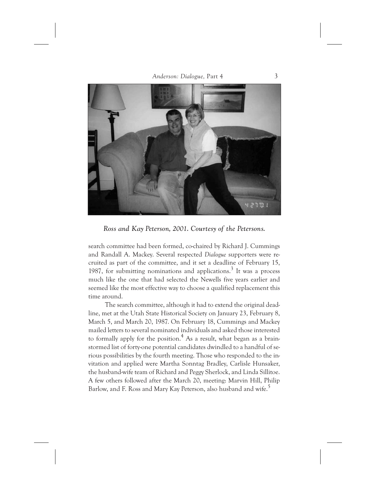

*Ross and Kay Peterson, 2001. Courtesy of the Petersons.*

search committee had been formed, co-chaired by Richard J. Cummings and Randall A. Mackey. Several respected *Dialogue* supporters were recruited as part of the committee, and it set a deadline of February 15, 1987, for submitting nominations and applications.<sup>3</sup> It was a process much like the one that had selected the Newells five years earlier and seemed like the most effective way to choose a qualified replacement this time around.

The search committee, although it had to extend the original deadline, met at the Utah State Historical Society on January 23, February 8, March 5, and March 20, 1987. On February 18, Cummings and Mackey mailed letters to several nominated individuals and asked those interested to formally apply for the position.<sup>4</sup> As a result, what began as a brainstormed list of forty-one potential candidates dwindled to a handful of serious possibilities by the fourth meeting. Those who responded to the invitation and applied were Martha Sonntag Bradley, Carlisle Hunsaker, the husband-wife team of Richard and Peggy Sherlock, and Linda Sillitoe. A few others followed after the March 20, meeting: Marvin Hill, Philip Barlow, and F. Ross and Mary Kay Peterson, also husband and wife.5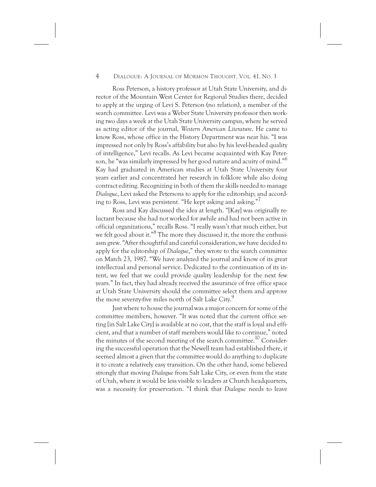Ross Peterson, a history professor at Utah State University, and director of the Mountain West Center for Regional Studies there, decided to apply at the urging of Levi S. Peterson (no relation), a member of the search committee. Levi was a Weber State University professor then working two days a week at the Utah State University campus, where he served as acting editor of the journal, *Western American Literature*. He came to know Ross, whose office in the History Department was near his. "I was impressed not only by Ross's affability but also by his level-headed quality of intelligence," Levi recalls. As Levi became acquainted with Kay Peterson, he "was similarly impressed by her good nature and acuity of mind."6 Kay had graduated in American studies at Utah State University four years earlier and concentrated her research in folklore while also doing contract editing. Recognizing in both of them the skills needed to manage *Dialogue*, Levi asked the Petersons to apply for the editorship; and according to Ross, Levi was persistent. "He kept asking and asking."<sup>7</sup>

Ross and Kay discussed the idea at length. "[Kay] was originally reluctant because she had not worked for awhile and had not been active in official organizations," recalls Ross. "I really wasn't that much either, but we felt good about it."<sup>8</sup> The more they discussed it, the more the enthusiasm grew. "After thoughtful and careful consideration, we have decided to apply for the editorship of *Dialogue*," they wrote to the search committee on March 23, 1987. "We have analyzed the journal and know of its great intellectual and personal service. Dedicated to the continuation of its intent, we feel that we could provide quality leadership for the next few years." In fact, they had already received the assurance of free office space at Utah State University should the committee select them and approve the move seventy-five miles north of Salt Lake City.<sup>9</sup>

Just where to house the journal was a major concern for some of the committee members, however. "It was noted that the current office setting [in Salt Lake City] is available at no cost, that the staff is loyal and efficient, and that a number of staff members would like to continue," noted the minutes of the second meeting of the search committee.<sup>10</sup> Considering the successful operation that the Newell team had established there, it seemed almost a given that the committee would do anything to duplicate it to create a relatively easy transition. On the other hand, some believed strongly that moving *Dialogue* from Salt Lake City, or even from the state of Utah, where it would be less visible to leaders at Church headquarters, was a necessity for preservation. "I think that *Dialogue* needs to leave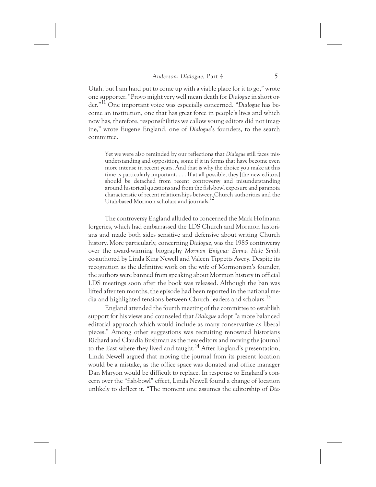Utah, but I am hard put to come up with a viable place for it to go," wrote one supporter. "Provo might very well mean death for *Dialogue* in short order."11 One important voice was especially concerned. "*Dialogue* has become an institution, one that has great force in people's lives and which now has, therefore, responsibilities we callow young editors did not imagine," wrote Eugene England, one of *Dialogue*'s founders, to the search committee.

Yet we were also reminded by our reflections that *Dialogue* still faces misunderstanding and opposition, some if it in forms that have become even more intense in recent years. And that is why the choice you make at this time is particularly important. . . . If at all possible, they [the new editors] should be detached from recent controversy and misunderstanding around historical questions and from the fish-bowl exposure and paranoia characteristic of recent relationships between Church authorities and the Utah-based Mormon scholars and journals.

The controversy England alluded to concerned the Mark Hofmann forgeries, which had embarrassed the LDS Church and Mormon historians and made both sides sensitive and defensive about writing Church history. More particularly, concerning *Dialogue*, was the 1985 controversy over the award-winning biography *Mormon Enigma: Emma Hale Smith* co-authored by Linda King Newell and Valeen Tippetts Avery. Despite its recognition as the definitive work on the wife of Mormonism's founder, the authors were banned from speaking about Mormon history in official LDS meetings soon after the book was released. Although the ban was lifted after ten months, the episode had been reported in the national media and highlighted tensions between Church leaders and scholars.<sup>13</sup>

England attended the fourth meeting of the committee to establish support for his views and counseled that *Dialogue* adopt "a more balanced editorial approach which would include as many conservative as liberal pieces." Among other suggestions was recruiting renowned historians Richard and Claudia Bushman as the new editors and moving the journal to the East where they lived and taught.<sup>14</sup> After England's presentation, Linda Newell argued that moving the journal from its present location would be a mistake, as the office space was donated and office manager Dan Maryon would be difficult to replace. In response to England's concern over the "fish-bowl" effect, Linda Newell found a change of location unlikely to deflect it. "The moment one assumes the editorship of *Dia-*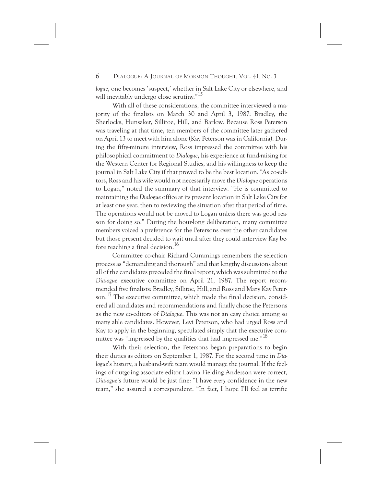*logue*, one becomes 'suspect,' whether in Salt Lake City or elsewhere, and will inevitably undergo close scrutiny."<sup>15</sup>

With all of these considerations, the committee interviewed a majority of the finalists on March 30 and April 3, 1987: Bradley, the Sherlocks, Hunsaker, Sillitoe, Hill, and Barlow. Because Ross Peterson was traveling at that time, ten members of the committee later gathered on April 13 to meet with him alone (Kay Peterson was in California). During the fifty-minute interview, Ross impressed the committee with his philosophical commitment to *Dialogue*, his experience at fund-raising for the Western Center for Regional Studies, and his willingness to keep the journal in Salt Lake City if that proved to be the best location. "As co-editors, Ross and his wife would not necessarily move the *Dialogue* operations to Logan," noted the summary of that interview. "He is committed to maintaining the *Dialogue* office at its present location in Salt Lake City for at least one year, then to reviewing the situation after that period of time. The operations would not be moved to Logan unless there was good reason for doing so." During the hour-long deliberation, many committee members voiced a preference for the Petersons over the other candidates but those present decided to wait until after they could interview Kay before reaching a final decision.<sup>16</sup>

Committee co-chair Richard Cummings remembers the selection process as "demanding and thorough" and that lengthy discussions about all of the candidates preceded the final report, which was submitted to the *Dialogue* executive committee on April 21, 1987. The report recommended five finalists: Bradley, Sillitoe, Hill, and Ross and Mary Kay Peterson.<sup>17</sup> The executive committee, which made the final decision, considered all candidates and recommendations and finally chose the Petersons as the new co-editors of *Dialogue*. This was not an easy choice among so many able candidates. However, Levi Peterson, who had urged Ross and Kay to apply in the beginning, speculated simply that the executive committee was "impressed by the qualities that had impressed me."<sup>18</sup>

With their selection, the Petersons began preparations to begin their duties as editors on September 1, 1987. For the second time in *Dialogue*'s history, a husband-wife team would manage the journal. If the feelings of outgoing associate editor Lavina Fielding Anderson were correct, *Dialogue*'s future would be just fine: "I have *every* confidence in the new team," she assured a correspondent. "In fact, I hope I'll feel as terrific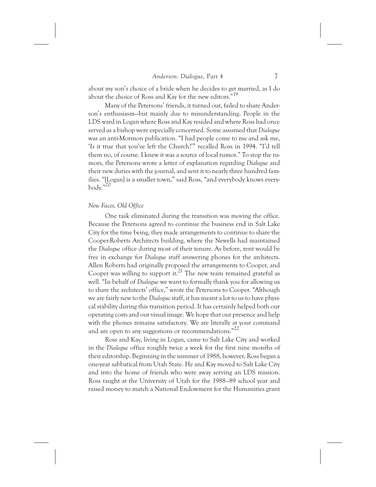about my son's choice of a bride when he decides to get married, as I do about the choice of Ross and Kay for the new editors."<sup>19</sup>

Many of the Petersons' friends, it turned out, failed to share Anderson's enthusiasm—but mainly due to misunderstanding. People in the LDS ward in Logan where Ross and Kay resided and where Ross had once served as a bishop were especially concerned. Some assumed that *Dialogue* was an anti-Mormon publication. "I had people come to me and ask me, 'Is it true that you've left the Church?'" recalled Ross in 1994. "I'd tell them no, of course. I knew it was a source of local rumor." To stop the rumors, the Petersons wrote a letter of explanation regarding *Dialogue* and their new duties with the journal, and sent it to nearly three hundred families. "[Logan] is a smaller town," said Ross, "and everybody knows everybody."20

#### *New Faces, Old Office*

One task eliminated during the transition was moving the office. Because the Petersons agreed to continue the business end in Salt Lake City for the time being, they made arrangements to continue to share the Cooper-Roberts Architects building, where the Newells had maintained the *Dialogue* office during most of their tenure. As before, rent would be free in exchange for *Dialogue* staff answering phones for the architects. Allen Roberts had originally proposed the arrangements to Cooper, and Cooper was willing to support it.<sup>21</sup> The new team remained grateful as well. "In behalf of *Dialogue* we want to formally thank you for allowing us to share the architects' office," wrote the Petersons to Cooper. "Although we are fairly new to the *Dialogue* staff, it has meant a lot to us to have physical stability during this transition period. It has certainly helped both our operating costs and our visual image. We hope that our presence and help with the phones remains satisfactory. We are literally at your command and are open to any suggestions or recommendations."<sup>22</sup>

Ross and Kay, living in Logan, came to Salt Lake City and worked in the *Dialogue* office roughly twice a week for the first nine months of their editorship. Beginning in the summer of 1988, however, Ross began a one-year sabbatical from Utah State. He and Kay moved to Salt Lake City and into the home of friends who were away serving an LDS mission. Ross taught at the University of Utah for the 1988–89 school year and raised money to match a National Endowment for the Humanities grant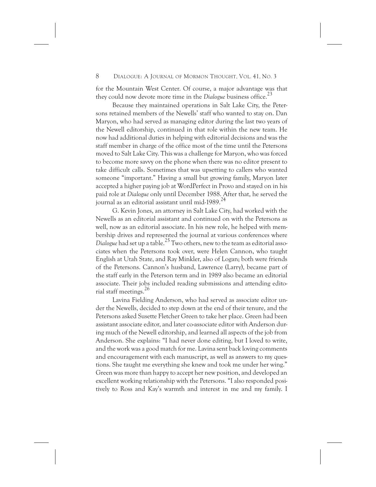for the Mountain West Center. Of course, a major advantage was that they could now devote more time in the *Dialogue* business office.<sup>23</sup>

Because they maintained operations in Salt Lake City, the Petersons retained members of the Newells' staff who wanted to stay on. Dan Maryon, who had served as managing editor during the last two years of the Newell editorship, continued in that role within the new team. He now had additional duties in helping with editorial decisions and was the staff member in charge of the office most of the time until the Petersons moved to Salt Lake City. This was a challenge for Maryon, who was forced to become more savvy on the phone when there was no editor present to take difficult calls. Sometimes that was upsetting to callers who wanted someone "important." Having a small but growing family, Maryon later accepted a higher paying job at WordPerfect in Provo and stayed on in his paid role at *Dialogue* only until December 1988. After that, he served the journal as an editorial assistant until mid-1989.<sup>24</sup>

G. Kevin Jones, an attorney in Salt Lake City, had worked with the Newells as an editorial assistant and continued on with the Petersons as well, now as an editorial associate. In his new role, he helped with membership drives and represented the journal at various conferences where *Dialogue* had set up a table.25 Two others, new to the team as editorial associates when the Petersons took over, were Helen Cannon, who taught English at Utah State, and Ray Minkler, also of Logan; both were friends of the Petersons. Cannon's husband, Lawrence (Larry), became part of the staff early in the Peterson term and in 1989 also became an editorial associate. Their jobs included reading submissions and attending editorial staff meetings.26

Lavina Fielding Anderson, who had served as associate editor under the Newells, decided to step down at the end of their tenure, and the Petersons asked Susette Fletcher Green to take her place. Green had been assistant associate editor, and later co-associate editor with Anderson during much of the Newell editorship, and learned all aspects of the job from Anderson. She explains: "I had never done editing, but I loved to write, and the work was a good match for me. Lavina sent back loving comments and encouragement with each manuscript, as well as answers to my questions. She taught me everything she knew and took me under her wing." Green was more than happy to accept her new position, and developed an excellent working relationship with the Petersons. "I also responded positively to Ross and Kay's warmth and interest in me and my family. I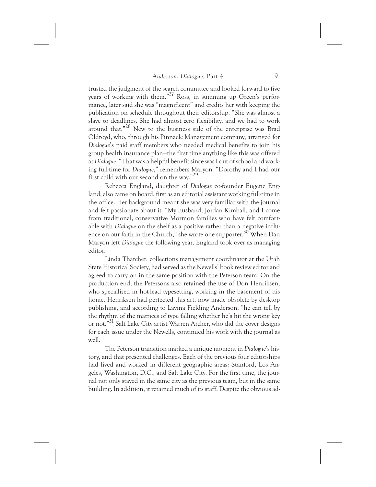trusted the judgment of the search committee and looked forward to five years of working with them."27 Ross, in summing up Green's performance, later said she was "magnificent" and credits her with keeping the publication on schedule throughout their editorship. "She was almost a slave to deadlines. She had almost zero flexibility, and we had to work around that."28 New to the business side of the enterprise was Brad Oldroyd, who, through his Pinnacle Management company, arranged for *Dialogue*'s paid staff members who needed medical benefits to join his group health insurance plan—the first time anything like this was offered at *Dialogue*. "That was a helpful benefit since was I out of school and working full-time for *Dialogue*," remembers Maryon. "Dorothy and I had our first child with our second on the way."<sup>29</sup>

Rebecca England, daughter of *Dialogue* co-founder Eugene England, also came on board, first as an editorial assistant working full-time in the office. Her background meant she was very familiar with the journal and felt passionate about it. "My husband, Jordan Kimball, and I come from traditional, conservative Mormon families who have felt comfortable with *Dialogue* on the shelf as a positive rather than a negative influence on our faith in the Church," she wrote one supporter.<sup>30</sup> When Dan Maryon left *Dialogue* the following year, England took over as managing editor.

Linda Thatcher, collections management coordinator at the Utah State Historical Society, had served as the Newells' book review editor and agreed to carry on in the same position with the Peterson team. On the production end, the Petersons also retained the use of Don Henriksen, who specialized in hot-lead typesetting, working in the basement of his home. Henriksen had perfected this art, now made obsolete by desktop publishing, and according to Lavina Fielding Anderson, "he can tell by the rhythm of the matrices of type falling whether he's hit the wrong key or not."31 Salt Lake City artist Warren Archer, who did the cover designs for each issue under the Newells, continued his work with the journal as well.

The Peterson transition marked a unique moment in *Dialogue*'s history, and that presented challenges. Each of the previous four editorships had lived and worked in different geographic areas: Stanford, Los Angeles, Washington, D.C., and Salt Lake City. For the first time, the journal not only stayed in the same city as the previous team, but in the same building. In addition, it retained much of its staff. Despite the obvious ad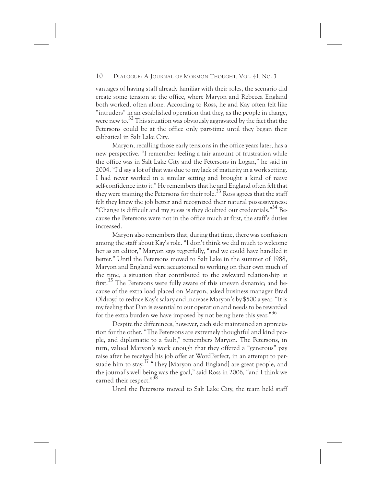vantages of having staff already familiar with their roles, the scenario did create some tension at the office, where Maryon and Rebecca England both worked, often alone. According to Ross, he and Kay often felt like "intruders" in an established operation that they, as the people in charge, were new to.<sup>32</sup> This situation was obviously aggravated by the fact that the Petersons could be at the office only part-time until they began their sabbatical in Salt Lake City.

Maryon, recalling those early tensions in the office years later, has a new perspective. "I remember feeling a fair amount of frustration while the office was in Salt Lake City and the Petersons in Logan," he said in 2004. "I'd say a lot of that was due to my lack of maturity in a work setting. I had never worked in a similar setting and brought a kind of naive self-confidence into it." He remembers that he and England often felt that they were training the Petersons for their role.<sup>33</sup> Ross agrees that the staff felt they knew the job better and recognized their natural possessiveness: "Change is difficult and my guess is they doubted our credentials."<sup>34</sup> Because the Petersons were not in the office much at first, the staff's duties increased.

Maryon also remembers that, during that time, there was confusion among the staff about Kay's role. "I don't think we did much to welcome her as an editor," Maryon says regretfully, "and we could have handled it better." Until the Petersons moved to Salt Lake in the summer of 1988, Maryon and England were accustomed to working on their own much of the time, a situation that contributed to the awkward relationship at first.<sup>35</sup> The Petersons were fully aware of this uneven dynamic; and because of the extra load placed on Maryon, asked business manager Brad Oldroyd to reduce Kay's salary and increase Maryon's by \$500 a year. "It is my feeling that Dan is essential to our operation and needs to be rewarded for the extra burden we have imposed by not being here this year."<sup>36</sup>

Despite the differences, however, each side maintained an appreciation for the other. "The Petersons are extremely thoughtful and kind people, and diplomatic to a fault," remembers Maryon. The Petersons, in turn, valued Maryon's work enough that they offered a "generous" pay raise after he received his job offer at WordPerfect, in an attempt to persuade him to stay.<sup>37</sup> "They [Maryon and England] are great people, and the journal's well being was the goal," said Ross in 2006, "and I think we earned their respect."<sup>38</sup>

Until the Petersons moved to Salt Lake City, the team held staff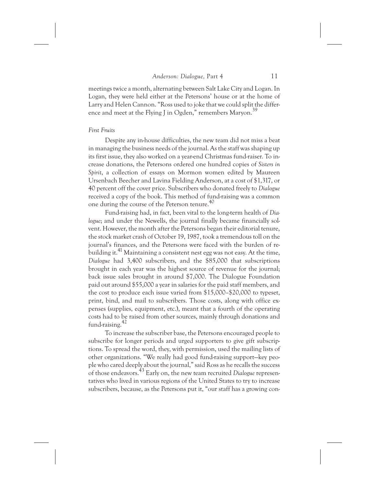meetings twice a month, alternating between Salt Lake City and Logan. In Logan, they were held either at the Petersons' house or at the home of Larry and Helen Cannon. "Ross used to joke that we could split the difference and meet at the Flying J in Ogden," remembers Maryon.<sup>39</sup>

## *First Fruits*

Despite any in-house difficulties, the new team did not miss a beat in managing the business needs of the journal. As the staff was shaping up its first issue, they also worked on a year-end Christmas fund-raiser. To increase donations, the Petersons ordered one hundred copies of *Sisters in Spirit*, a collection of essays on Mormon women edited by Maureen Ursenbach Beecher and Lavina Fielding Anderson, at a cost of \$1,317, or 40 percent off the cover price. Subscribers who donated freely to *Dialogue* received a copy of the book. This method of fund-raising was a common one during the course of the Peterson tenure.40

Fund-raising had, in fact, been vital to the long-term health of *Dialogue*; and under the Newells, the journal finally became financially solvent. However, the month after the Petersons began their editorial tenure, the stock market crash of October 19, 1987, took a tremendous toll on the journal's finances, and the Petersons were faced with the burden of rebuilding it.<sup>41</sup> Maintaining a consistent nest egg was not easy. At the time, *Dialogue* had 3,400 subscribers, and the \$85,000 that subscriptions brought in each year was the highest source of revenue for the journal; back issue sales brought in around \$7,000. The Dialogue Foundation paid out around \$55,000 a year in salaries for the paid staff members, and the cost to produce each issue varied from \$15,000–\$20,000 to typeset, print, bind, and mail to subscribers. Those costs, along with office expenses (supplies, equipment, etc.), meant that a fourth of the operating costs had to be raised from other sources, mainly through donations and fund-raising.42

To increase the subscriber base, the Petersons encouraged people to subscribe for longer periods and urged supporters to give gift subscriptions. To spread the word, they, with permission, used the mailing lists of other organizations. "We really had good fund-raising support—key people who cared deeply about the journal," said Ross as he recalls the success of those endeavors.43 Early on, the new team recruited *Dialogue* representatives who lived in various regions of the United States to try to increase subscribers, because, as the Petersons put it, "our staff has a growing con-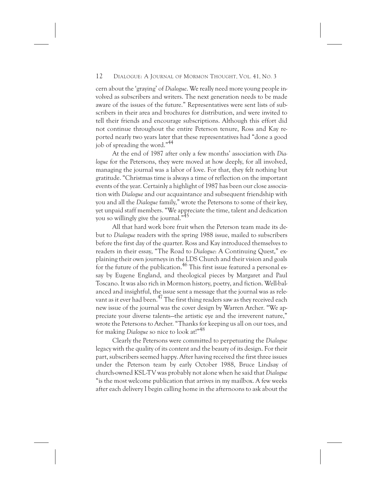cern about the 'graying' of *Dialogue*. We really need more young people involved as subscribers and writers. The next generation needs to be made aware of the issues of the future." Representatives were sent lists of subscribers in their area and brochures for distribution, and were invited to tell their friends and encourage subscriptions. Although this effort did not continue throughout the entire Peterson tenure, Ross and Kay reported nearly two years later that these representatives had "done a good job of spreading the word."44

At the end of 1987 after only a few months' association with *Dialogue* for the Petersons, they were moved at how deeply, for all involved, managing the journal was a labor of love. For that, they felt nothing but gratitude. "Christmas time is always a time of reflection on the important events of the year. Certainly a highlight of 1987 has been our close association with *Dialogue* and our acquaintance and subsequent friendship with you and all the *Dialogue* family," wrote the Petersons to some of their key, yet unpaid staff members. "We appreciate the time, talent and dedication you so willingly give the journal."45

All that hard work bore fruit when the Peterson team made its debut to *Dialogue* readers with the spring 1988 issue, mailed to subscribers before the first day of the quarter. Ross and Kay introduced themselves to readers in their essay, "The Road to *Dialogue*: A Continuing Quest," explaining their own journeys in the LDS Church and their vision and goals for the future of the publication.<sup>46</sup> This first issue featured a personal essay by Eugene England, and theological pieces by Margaret and Paul Toscano. It was also rich in Mormon history, poetry, and fiction. Well-balanced and insightful, the issue sent a message that the journal was as relevant as it ever had been.<sup>47</sup> The first thing readers saw as they received each new issue of the journal was the cover design by Warren Archer. "We appreciate your diverse talents—the artistic eye and the irreverent nature," wrote the Petersons to Archer. "Thanks for keeping us all on our toes, and for making *Dialogue* so nice to look at!"48

Clearly the Petersons were committed to perpetuating the *Dialogue* legacy with the quality of its content and the beauty of its design. For their part, subscribers seemed happy. After having received the first three issues under the Peterson team by early October 1988, Bruce Lindsay of church-owned KSL-TV was probably not alone when he said that *Dialogue* "is the most welcome publication that arrives in my mailbox. A few weeks after each delivery I begin calling home in the afternoons to ask about the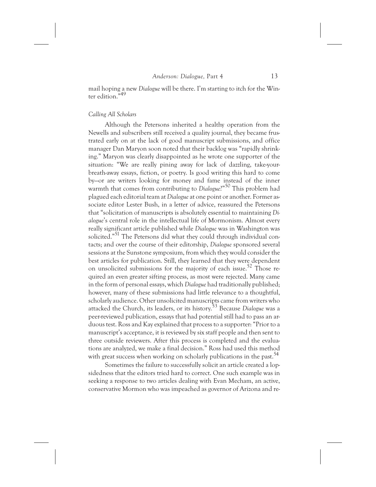mail hoping a new *Dialogue* will be there. I'm starting to itch for the Winter edition."49

#### *Calling All Scholars*

Although the Petersons inherited a healthy operation from the Newells and subscribers still received a quality journal, they became frustrated early on at the lack of good manuscript submissions, and office manager Dan Maryon soon noted that their backlog was "rapidly shrinking." Maryon was clearly disappointed as he wrote one supporter of the situation: "We are really pining away for lack of dazzling, take-yourbreath-away essays, fiction, or poetry. Is good writing this hard to come by—or are writers looking for money and fame instead of the inner warmth that comes from contributing to *Dialogue*?"<sup>50</sup> This problem had plagued each editorial team at *Dialogue* at one point or another. Former associate editor Lester Bush, in a letter of advice, reassured the Petersons that "solicitation of manuscripts is absolutely essential to maintaining *Dialogue*'s central role in the intellectual life of Mormonism. Almost every really significant article published while *Dialogue* was in Washington was solicited."<sup>51</sup> The Petersons did what they could through individual contacts; and over the course of their editorship, *Dialogue* sponsored several sessions at the Sunstone symposium, from which they would consider the best articles for publication. Still, they learned that they were dependent on unsolicited submissions for the majority of each issue.52 Those required an even greater sifting process, as most were rejected. Many came in the form of personal essays, which *Dialogue* had traditionally published; however, many of these submissions had little relevance to a thoughtful, scholarly audience. Other unsolicited manuscripts came from writers who attacked the Church, its leaders, or its history.53 Because *Dialogue* was a peer-reviewed publication, essays that had potential still had to pass an arduous test. Ross and Kay explained that process to a supporter: "Prior to a manuscript's acceptance, it is reviewed by six staff people and then sent to three outside reviewers. After this process is completed and the evaluations are analyzed, we make a final decision." Ross had used this method with great success when working on scholarly publications in the past.<sup>54</sup>

Sometimes the failure to successfully solicit an article created a lopsidedness that the editors tried hard to correct. One such example was in seeking a response to two articles dealing with Evan Mecham, an active, conservative Mormon who was impeached as governor of Arizona and re-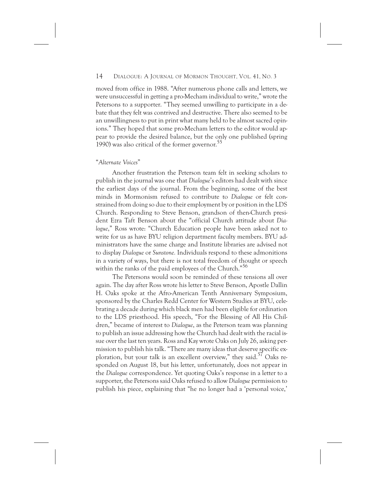moved from office in 1988. "After numerous phone calls and letters, we were unsuccessful in getting a pro-Mecham individual to write," wrote the Petersons to a supporter. "They seemed unwilling to participate in a debate that they felt was contrived and destructive. There also seemed to be an unwillingness to put in print what many held to be almost sacred opinions." They hoped that some pro-Mecham letters to the editor would appear to provide the desired balance, but the only one published (spring 1990) was also critical of the former governor.<sup>55</sup>

#### "*Alternate Voices*"

Another frustration the Peterson team felt in seeking scholars to publish in the journal was one that *Dialogue*'s editors had dealt with since the earliest days of the journal. From the beginning, some of the best minds in Mormonism refused to contribute to *Dialogue* or felt constrained from doing so due to their employment by or position in the LDS Church. Responding to Steve Benson, grandson of then-Church president Ezra Taft Benson about the "official Church attitude about *Dialogue*," Ross wrote: "Church Education people have been asked not to write for us as have BYU religion department faculty members. BYU administrators have the same charge and Institute libraries are advised not to display *Dialogue* or *Sunstone.* Individuals respond to these admonitions in a variety of ways, but there is not total freedom of thought or speech within the ranks of the paid employees of the Church."<sup>56</sup>

The Petersons would soon be reminded of these tensions all over again. The day after Ross wrote his letter to Steve Benson, Apostle Dallin H. Oaks spoke at the Afro-American Tenth Anniversary Symposium, sponsored by the Charles Redd Center for Western Studies at BYU, celebrating a decade during which black men had been eligible for ordination to the LDS priesthood. His speech, "For the Blessing of All His Children," became of interest to *Dialogue*, as the Peterson team was planning to publish an issue addressing how the Church had dealt with the racial issue over the last ten years. Ross and Kay wrote Oaks on July 26, asking permission to publish his talk. "There are many ideas that deserve specific exploration, but your talk is an excellent overview," they said.<sup>57</sup> Oaks responded on August 18, but his letter, unfortunately, does not appear in the *Dialogue* correspondence. Yet quoting Oaks's response in a letter to a supporter, the Petersons said Oaks refused to allow *Dialogue* permission to publish his piece, explaining that "he no longer had a 'personal voice,'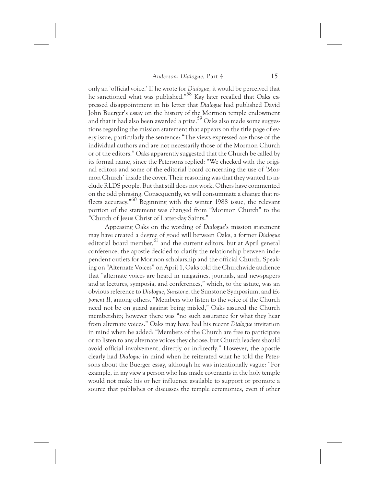only an 'official voice.' If he wrote for *Dialogue*, it would be perceived that he sanctioned what was published."<sup>58</sup> Kay later recalled that Oaks expressed disappointment in his letter that *Dialogue* had published David John Buerger's essay on the history of the Mormon temple endowment and that it had also been awarded a prize.<sup>59</sup> Oaks also made some suggestions regarding the mission statement that appears on the title page of every issue, particularly the sentence: "The views expressed are those of the individual authors and are not necessarily those of the Mormon Church or of the editors." Oaks apparently suggested that the Church be called by its formal name, since the Petersons replied: "We checked with the original editors and some of the editorial board concerning the use of 'Mormon Church' inside the cover. Their reasoning was that they wanted to include RLDS people. But that still does not work. Others have commented on the odd phrasing. Consequently, we will consummate a change that reflects accuracy."60 Beginning with the winter 1988 issue, the relevant portion of the statement was changed from "Mormon Church" to the "Church of Jesus Christ of Latter-day Saints."

Appeasing Oaks on the wording of *Dialogue*'s mission statement may have created a degree of good will between Oaks, a former *Dialogue* editorial board member,<sup>61</sup> and the current editors, but at April general conference, the apostle decided to clarify the relationship between independent outlets for Mormon scholarship and the official Church. Speaking on "Alternate Voices" on April 1, Oaks told the Churchwide audience that "alternate voices are heard in magazines, journals, and newspapers and at lectures, symposia, and conferences," which, to the astute, was an obvious reference to *Dialogue*, *Sunstone*, the Sunstone Symposium, and *Exponent II*, among others. "Members who listen to the voice of the Church need not be on guard against being misled," Oaks assured the Church membership; however there was "no such assurance for what they hear from alternate voices." Oaks may have had his recent *Dialogue* invitation in mind when he added: "Members of the Church are free to participate or to listen to any alternate voices they choose, but Church leaders should avoid official involvement, directly or indirectly." However, the apostle clearly had *Dialogue* in mind when he reiterated what he told the Petersons about the Buerger essay, although he was intentionally vague: "For example, in my view a person who has made covenants in the holy temple would not make his or her influence available to support or promote a source that publishes or discusses the temple ceremonies, even if other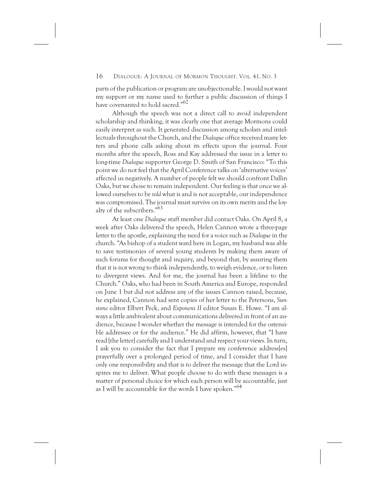parts of the publication or program are unobjectionable. I would not want my support or my name used to further a public discussion of things I have covenanted to hold sacred."<sup>62</sup>

Although the speech was not a direct call to avoid independent scholarship and thinking, it was clearly one that average Mormons could easily interpret as such. It generated discussion among scholars and intellectuals throughout the Church, and the *Dialogue* office received many letters and phone calls asking about its effects upon the journal. Four months after the speech, Ross and Kay addressed the issue in a letter to long-time *Dialogue* supporter George D. Smith of San Francisco: "To this point we do not feel that the April Conference talks on 'alternative voices' affected us negatively. A number of people felt we should confront Dallin Oaks, but we chose to remain independent. Our feeling is that once we allowed ourselves to be *told* what is and is not acceptable, our independence was compromised. The journal must survive on its own merits and the loyalty of the subscribers."63

At least one *Dialogue* staff member did contact Oaks. On April 8, a week after Oaks delivered the speech, Helen Cannon wrote a three-page letter to the apostle, explaining the need for a voice such as *Dialogue* in the church. "As bishop of a student ward here in Logan, my husband was able to save testimonies of several young students by making them aware of such forums for thought and inquiry, and beyond that, by assuring them that it is not wrong to think independently, to weigh evidence, or to listen to divergent views. And for me, the journal has been a lifeline to the Church." Oaks, who had been in South America and Europe, responded on June 1 but did not address any of the issues Cannon raised, because, he explained, Cannon had sent copies of her letter to the Petersons, *Sunstone* editor Elbert Peck, and *Exponent II* editor Susan E. Howe. "I am always a little ambivalent about communications delivered in front of an audience, because I wonder whether the message is intended for the ostensible addressee or for the audience." He did affirm, however, that "I have read [the letter] carefully and I understand and respect your views. In turn, I ask you to consider the fact that I prepare my conference address[es] prayerfully over a prolonged period of time, and I consider that I have only one responsibility and that is to deliver the message that the Lord inspires me to deliver. What people choose to do with these messages is a matter of personal choice for which each person will be accountable, just as I will be accountable for the words I have spoken."<sup>64</sup>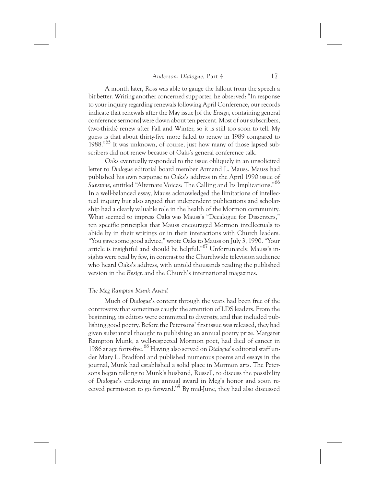A month later, Ross was able to gauge the fallout from the speech a bit better. Writing another concerned supporter, he observed: "In response to your inquiry regarding renewals following April Conference, our records indicate that renewals after the May issue [of the *Ensign*, containing general conference sermons] were down about ten percent. Most of our subscribers, (two-thirds) renew after Fall and Winter, so it is still too soon to tell. My guess is that about thirty-five more failed to renew in 1989 compared to 1988."65 It was unknown, of course, just how many of those lapsed subscribers did not renew because of Oaks's general conference talk.

Oaks eventually responded to the issue obliquely in an unsolicited letter to *Dialogue* editorial board member Armand L. Mauss. Mauss had published his own response to Oaks's address in the April 1990 issue of *Sunstone*, entitled "Alternate Voices: The Calling and Its Implications."66 In a well-balanced essay, Mauss acknowledged the limitations of intellectual inquiry but also argued that independent publications and scholarship had a clearly valuable role in the health of the Mormon community. What seemed to impress Oaks was Mauss's "Decalogue for Dissenters," ten specific principles that Mauss encouraged Mormon intellectuals to abide by in their writings or in their interactions with Church leaders. "You gave some good advice," wrote Oaks to Mauss on July 3, 1990. "Your article is insightful and should be helpful."67 Unfortunately, Mauss's insights were read by few, in contrast to the Churchwide television audience who heard Oaks's address, with untold thousands reading the published version in the *Ensign* and the Church's international magazines.

# *The Meg Rampton Munk Award*

Much of *Dialogue*'s content through the years had been free of the controversy that sometimes caught the attention of LDS leaders. From the beginning, its editors were committed to diversity, and that included publishing good poetry. Before the Petersons' first issue was released, they had given substantial thought to publishing an annual poetry prize. Margaret Rampton Munk, a well-respected Mormon poet, had died of cancer in 1986 at age forty-five.68 Having also served on *Dialogue*'s editorial staff under Mary L. Bradford and published numerous poems and essays in the journal, Munk had established a solid place in Mormon arts. The Petersons began talking to Munk's husband, Russell, to discuss the possibility of *Dialogue*'s endowing an annual award in Meg's honor and soon received permission to go forward.<sup>69</sup> By mid-June, they had also discussed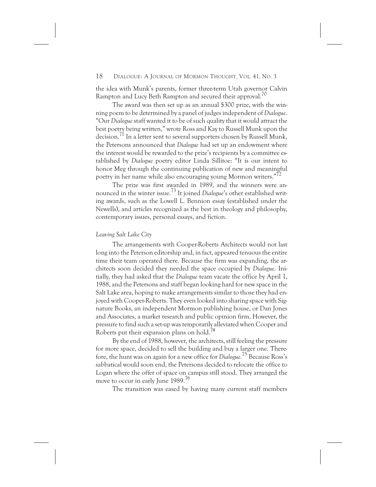the idea with Munk's parents, former three-term Utah governor Calvin Rampton and Lucy Beth Rampton and secured their approval.<sup>70</sup>

The award was then set up as an annual \$300 prize, with the winning poem to be determined by a panel of judges independent of *Dialogue*. "Our *Dialogue* staff wanted it to be of such quality that it would attract the best poetry being written," wrote Ross and Kay to Russell Munk upon the decision.71 In a letter sent to several supporters chosen by Russell Munk, the Petersons announced that *Dialogue* had set up an endowment where the interest would be rewarded to the prize's recipients by a committee established by *Dialogue* poetry editor Linda Sillitoe: "It is our intent to honor Meg through the continuing publication of new and meaningful poetry in her name while also encouraging young Mormon writers.<sup>"72</sup>

The prize was first awarded in 1989, and the winners were announced in the winter issue.73 It joined *Dialogue*'s other established writing awards, such as the Lowell L. Bennion essay (established under the Newells), and articles recognized as the best in theology and philosophy, contemporary issues, personal essays, and fiction.

# *Leaving Salt Lake City*

The arrangements with Cooper-Roberts Architects would not last long into the Peterson editorship and, in fact, appeared tenuous the entire time their team operated there. Because the firm was expanding, the architects soon decided they needed the space occupied by *Dialogue*. Initially, they had asked that the *Dialogue* team vacate the office by April 1, 1988, and the Petersons and staff began looking hard for new space in the Salt Lake area, hoping to make arrangements similar to those they had enjoyed with Cooper-Roberts. They even looked into sharing space with Signature Books, an independent Mormon publishing house, or Dan Jones and Associates, a market research and public opinion firm. However, the pressure to find such a set-up was temporarily alleviated when Cooper and Roberts put their expansion plans on hold.<sup>74</sup>

By the end of 1988, however, the architects, still feeling the pressure for more space, decided to sell the building and buy a larger one. Therefore, the hunt was on again for a new office for *Dialogue.*<sup>75</sup> Because Ross's sabbatical would soon end, the Petersons decided to relocate the office to Logan where the offer of space on campus still stood. They arranged the move to occur in early June 1989.<sup>76</sup>

The transition was eased by having many current staff members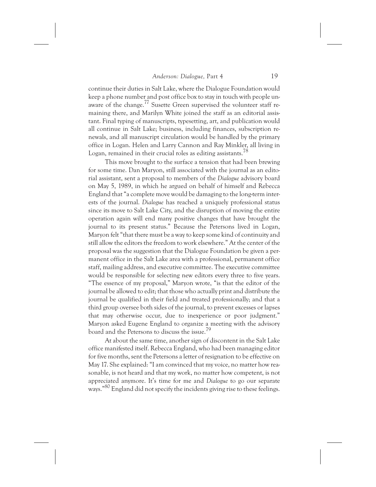continue their duties in Salt Lake, where the Dialogue Foundation would keep a phone number and post office box to stay in touch with people unaware of the change.<sup>77</sup> Susette Green supervised the volunteer staff remaining there, and Marilyn White joined the staff as an editorial assistant. Final typing of manuscripts, typesetting, art, and publication would all continue in Salt Lake; business, including finances, subscription renewals, and all manuscript circulation would be handled by the primary office in Logan. Helen and Larry Cannon and Ray Minkler, all living in Logan, remained in their crucial roles as editing assistants.<sup>78</sup>

This move brought to the surface a tension that had been brewing for some time. Dan Maryon, still associated with the journal as an editorial assistant, sent a proposal to members of the *Dialogue* advisory board on May 5, 1989, in which he argued on behalf of himself and Rebecca England that "a complete move would be damaging to the long-term interests of the journal. *Dialogue* has reached a uniquely professional status since its move to Salt Lake City, and the disruption of moving the entire operation again will end many positive changes that have brought the journal to its present status." Because the Petersons lived in Logan, Maryon felt "that there must be a way to keep some kind of continuity and still allow the editors the freedom to work elsewhere." At the center of the proposal was the suggestion that the Dialogue Foundation be given a permanent office in the Salt Lake area with a professional, permanent office staff, mailing address, and executive committee. The executive committee would be responsible for selecting new editors every three to five years. "The essence of my proposal," Maryon wrote, "is that the editor of the journal be allowed to edit; that those who actually print and distribute the journal be qualified in their field and treated professionally; and that a third group oversee both sides of the journal, to prevent excesses or lapses that may otherwise occur, due to inexperience or poor judgment." Maryon asked Eugene England to organize a meeting with the advisory board and the Petersons to discuss the issue.79

At about the same time, another sign of discontent in the Salt Lake office manifested itself. Rebecca England, who had been managing editor for five months, sent the Petersons a letter of resignation to be effective on May 17. She explained: "I am convinced that my voice, no matter how reasonable, is not heard and that my work, no matter how competent, is not appreciated anymore. It's time for me and *Dialogue* to go our separate ways."80 England did not specify the incidents giving rise to these feelings.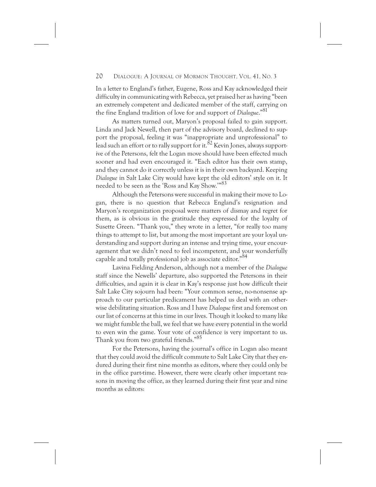In a letter to England's father, Eugene, Ross and Kay acknowledged their difficulty in communicating with Rebecca, yet praised her as having "been an extremely competent and dedicated member of the staff, carrying on the fine England tradition of love for and support of *Dialogue*."81

As matters turned out, Maryon's proposal failed to gain support. Linda and Jack Newell, then part of the advisory board, declined to support the proposal, feeling it was "inappropriate and unprofessional" to lead such an effort or to rally support for it.  ${}^{82}$  Kevin Jones, always supportive of the Petersons, felt the Logan move should have been effected much sooner and had even encouraged it. "Each editor has their own stamp, and they cannot do it correctly unless it is in their own backyard. Keeping *Dialogue* in Salt Lake City would have kept the old editors' style on it. It needed to be seen as the 'Ross and Kay Show.'"<sup>83</sup>

Although the Petersons were successful in making their move to Logan, there is no question that Rebecca England's resignation and Maryon's reorganization proposal were matters of dismay and regret for them, as is obvious in the gratitude they expressed for the loyalty of Susette Green. "Thank you," they wrote in a letter, "for really too many things to attempt to list, but among the most important are your loyal understanding and support during an intense and trying time, your encouragement that we didn't need to feel incompetent, and your wonderfully capable and totally professional job as associate editor."<sup>84</sup>

Lavina Fielding Anderson, although not a member of the *Dialogue* staff since the Newells' departure, also supported the Petersons in their difficulties, and again it is clear in Kay's response just how difficult their Salt Lake City sojourn had been: "Your common sense, no-nonsense approach to our particular predicament has helped us deal with an otherwise debilitating situation. Ross and I have *Dialogue* first and foremost on our list of concerns at this time in our lives. Though it looked to many like we might fumble the ball, we feel that we have every potential in the world to even win the game. Your vote of confidence is very important to us. Thank you from two grateful friends."85

For the Petersons, having the journal's office in Logan also meant that they could avoid the difficult commute to Salt Lake City that they endured during their first nine months as editors, where they could only be in the office part-time. However, there were clearly other important reasons in moving the office, as they learned during their first year and nine months as editors: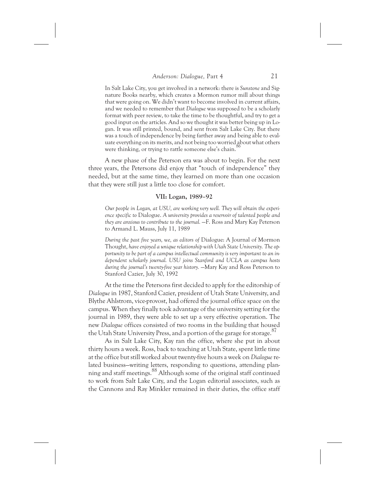In Salt Lake City, you get involved in a network: there is *Sunstone* and Signature Books nearby, which creates a Mormon rumor mill about things that were going on. We didn't want to become involved in current affairs, and we needed to remember that *Dialogue* was supposed to be a scholarly format with peer review, to take the time to be thoughtful, and try to get a good input on the articles. And so we thought it was better being up in Logan. It was still printed, bound, and sent from Salt Lake City. But there was a touch of independence by being farther away and being able to evaluate everything on its merits, and not being too worried about what others were thinking, or trying to rattle someone else's chain.<sup>9</sup>

A new phase of the Peterson era was about to begin. For the next three years, the Petersons did enjoy that "touch of independence" they needed, but at the same time, they learned on more than one occasion that they were still just a little too close for comfort.

#### **VII: Logan, 1989–92**

*Our people in Logan, at USU, are working very well. They will obtain the experience specific to* Dialogue. *A university provides a reservoir of talented people and they are anxious to contribute to the journal.* —F. Ross and Mary Kay Peterson to Armand L. Mauss, July 11, 1989

*During the past five years, we, as editors of* Dialogue: A Journal of Mormon Thought, *have enjoyed a unique relationship with Utah State University. The opportunity to be part of a campus intellectual community is very important to an independent scholarly journal. USU joins Stanford and UCLA as campus hosts during the journal's twenty-five year history.* —Mary Kay and Ross Peterson to Stanford Cazier, July 30, 1992

At the time the Petersons first decided to apply for the editorship of *Dialogue* in 1987, Stanford Cazier, president of Utah State University, and Blythe Ahlstrom, vice-provost, had offered the journal office space on the campus. When they finally took advantage of the university setting for the journal in 1989, they were able to set up a very effective operation. The new *Dialogue* offices consisted of two rooms in the building that housed the Utah State University Press, and a portion of the garage for storage.<sup>87</sup>

As in Salt Lake City, Kay ran the office, where she put in about thirty hours a week. Ross, back to teaching at Utah State, spent little time at the office but still worked about twenty-five hours a week on *Dialogue* related business—writing letters, responding to questions, attending planning and staff meetings.<sup>88</sup> Although some of the original staff continued to work from Salt Lake City, and the Logan editorial associates, such as the Cannons and Ray Minkler remained in their duties, the office staff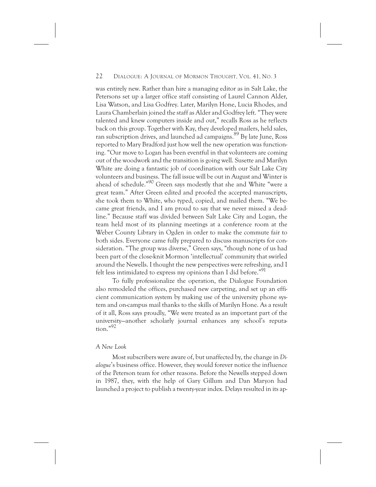was entirely new. Rather than hire a managing editor as in Salt Lake, the Petersons set up a larger office staff consisting of Laurel Cannon Alder, Lisa Watson, and Lisa Godfrey. Later, Marilyn Hone, Lucia Rhodes, and Laura Chamberlain joined the staff as Alder and Godfrey left. "They were talented and knew computers inside and out," recalls Ross as he reflects back on this group. Together with Kay, they developed mailers, held sales, ran subscription drives, and launched ad campaigns.<sup>89</sup> By late June, Ross reported to Mary Bradford just how well the new operation was functioning. "Our move to Logan has been eventful in that volunteers are coming out of the woodwork and the transition is going well. Susette and Marilyn White are doing a fantastic job of coordination with our Salt Lake City volunteers and business. The fall issue will be out in August and Winter is ahead of schedule."90 Green says modestly that she and White "were a great team." After Green edited and proofed the accepted manuscripts, she took them to White, who typed, copied, and mailed them. "We became great friends, and I am proud to say that we never missed a deadline." Because staff was divided between Salt Lake City and Logan, the team held most of its planning meetings at a conference room at the Weber County Library in Ogden in order to make the commute fair to both sides. Everyone came fully prepared to discuss manuscripts for consideration. "The group was diverse," Green says, "though none of us had been part of the close-knit Mormon 'intellectual' community that swirled around the Newells. I thought the new perspectives were refreshing, and I felt less intimidated to express my opinions than I did before."<sup>91</sup>

To fully professionalize the operation, the Dialogue Foundation also remodeled the offices, purchased new carpeting, and set up an efficient communication system by making use of the university phone system and on-campus mail thanks to the skills of Marilyn Hone. As a result of it all, Ross says proudly, "We were treated as an important part of the university—another scholarly journal enhances any school's reputa $t$ <sub>tion</sub>."92

# *A New Look*

Most subscribers were aware of, but unaffected by, the change in *Dialogue*'s business office. However, they would forever notice the influence of the Peterson team for other reasons. Before the Newells stepped down in 1987, they, with the help of Gary Gillum and Dan Maryon had launched a project to publish a twenty-year index. Delays resulted in its ap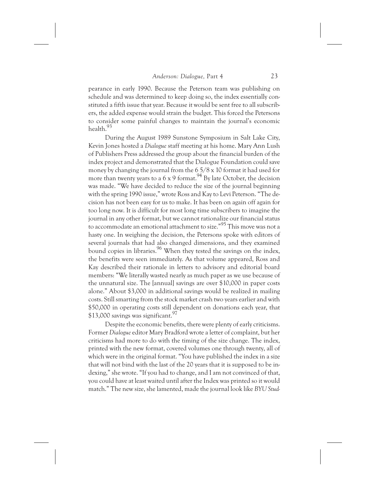pearance in early 1990. Because the Peterson team was publishing on schedule and was determined to keep doing so, the index essentially constituted a fifth issue that year. Because it would be sent free to all subscribers, the added expense would strain the budget. This forced the Petersons to consider some painful changes to maintain the journal's economic health.93

During the August 1989 Sunstone Symposium in Salt Lake City, Kevin Jones hosted a *Dialogue* staff meeting at his home. Mary Ann Lush of Publishers Press addressed the group about the financial burden of the index project and demonstrated that the Dialogue Foundation could save money by changing the journal from the 6 5/8 x 10 format it had used for more than twenty years to a  $6 \times 9$  format.<sup>94</sup> By late October, the decision was made. "We have decided to reduce the size of the journal beginning with the spring 1990 issue," wrote Ross and Kay to Levi Peterson. "The decision has not been easy for us to make. It has been on again off again for too long now. It is difficult for most long time subscribers to imagine the journal in any other format, but we cannot rationalize our financial status to accommodate an emotional attachment to size."95 This move was not a hasty one. In weighing the decision, the Petersons spoke with editors of several journals that had also changed dimensions, and they examined bound copies in libraries.<sup>96</sup> When they tested the savings on the index, the benefits were seen immediately. As that volume appeared, Ross and Kay described their rationale in letters to advisory and editorial board members: "We literally wasted nearly as much paper as we use because of the unnatural size. The [annual] savings are over \$10,000 in paper costs alone." About \$3,000 in additional savings would be realized in mailing costs. Still smarting from the stock market crash two years earlier and with \$50,000 in operating costs still dependent on donations each year, that \$13,000 savings was significant.<sup>97</sup>

Despite the economic benefits, there were plenty of early criticisms. Former *Dialogue* editor Mary Bradford wrote a letter of complaint, but her criticisms had more to do with the timing of the size change. The index, printed with the new format, covered volumes one through twenty, all of which were in the original format. "You have published the index in a size that will not bind with the last of the 20 years that it is supposed to be indexing," she wrote. "If you had to change, and I am not convinced of that, you could have at least waited until after the Index was printed so it would match." The new size, she lamented, made the journal look like *BYU Stud-*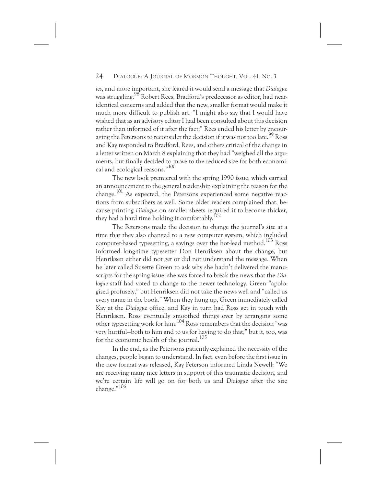*ies*, and more important, she feared it would send a message that *Dialogue* was struggling.98 Robert Rees, Bradford's predecessor as editor, had nearidentical concerns and added that the new, smaller format would make it much more difficult to publish art. "I might also say that I would have wished that as an advisory editor I had been consulted about this decision rather than informed of it after the fact." Rees ended his letter by encouraging the Petersons to reconsider the decision if it was not too late.<sup>99</sup> Ross and Kay responded to Bradford, Rees, and others critical of the change in a letter written on March 8 explaining that they had "weighed all the arguments, but finally decided to move to the reduced size for both economical and ecological reasons."100

The new look premiered with the spring 1990 issue, which carried an announcement to the general readership explaining the reason for the change.<sup>101</sup> As expected, the Petersons experienced some negative reactions from subscribers as well. Some older readers complained that, because printing *Dialogue* on smaller sheets required it to become thicker, they had a hard time holding it comfortably.<sup>102</sup>

The Petersons made the decision to change the journal's size at a time that they also changed to a new computer system, which included computer-based typesetting, a savings over the hot-lead method.<sup>103</sup> Ross informed long-time typesetter Don Henriksen about the change, but Henriksen either did not get or did not understand the message. When he later called Susette Green to ask why she hadn't delivered the manuscripts for the spring issue, she was forced to break the news that the *Dialogue* staff had voted to change to the newer technology. Green "apologized profusely," but Henriksen did not take the news well and "called us every name in the book." When they hung up, Green immediately called Kay at the *Dialogue* office, and Kay in turn had Ross get in touch with Henriksen. Ross eventually smoothed things over by arranging some other typesetting work for him.104 Ross remembers that the decision "was very hurtful—both to him and to us for having to do that," but it, too, was for the economic health of the journal.<sup>105</sup>

In the end, as the Petersons patiently explained the necessity of the changes, people began to understand. In fact, even before the first issue in the new format was released, Kay Peterson informed Linda Newell: "We are receiving many nice letters in support of this traumatic decision, and we're certain life will go on for both us and *Dialogue* after the size change."106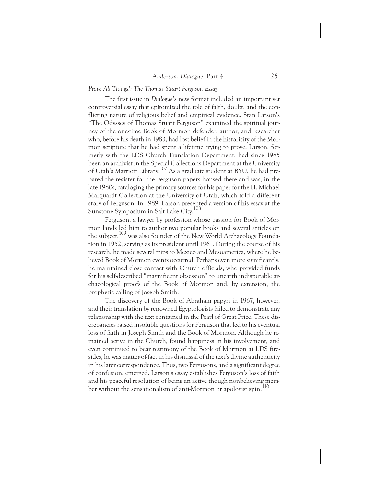# *Prove All Things?: The Thomas Stuart Ferguson Essay*

The first issue in *Dialogue*'s new format included an important yet controversial essay that epitomized the role of faith, doubt, and the conflicting nature of religious belief and empirical evidence. Stan Larson's "The Odyssey of Thomas Stuart Ferguson" examined the spiritual journey of the one-time Book of Mormon defender, author, and researcher who, before his death in 1983, had lost belief in the historicity of the Mormon scripture that he had spent a lifetime trying to prove. Larson, formerly with the LDS Church Translation Department, had since 1985 been an archivist in the Special Collections Department at the University of Utah's Marriott Library.107 As a graduate student at BYU, he had prepared the register for the Ferguson papers housed there and was, in the late 1980s, cataloging the primary sources for his paper for the H. Michael Marquardt Collection at the University of Utah, which told a different story of Ferguson. In 1989, Larson presented a version of his essay at the Sunstone Symposium in Salt Lake City.<sup>108</sup>

Ferguson, a lawyer by profession whose passion for Book of Mormon lands led him to author two popular books and several articles on the subject,109 was also founder of the New World Archaeology Foundation in 1952, serving as its president until 1961. During the course of his research, he made several trips to Mexico and Mesoamerica, where he believed Book of Mormon events occurred. Perhaps even more significantly, he maintained close contact with Church officials, who provided funds for his self-described "magnificent obsession" to unearth indisputable archaeological proofs of the Book of Mormon and, by extension, the prophetic calling of Joseph Smith.

The discovery of the Book of Abraham papyri in 1967, however, and their translation by renowned Egyptologists failed to demonstrate any relationship with the text contained in the Pearl of Great Price. These discrepancies raised insoluble questions for Ferguson that led to his eventual loss of faith in Joseph Smith and the Book of Mormon. Although he remained active in the Church, found happiness in his involvement, and even continued to bear testimony of the Book of Mormon at LDS firesides, he was matter-of-fact in his dismissal of the text's divine authenticity in his later correspondence. Thus, two Fergusons, and a significant degree of confusion, emerged. Larson's essay establishes Ferguson's loss of faith and his peaceful resolution of being an active though nonbelieving member without the sensationalism of anti-Mormon or apologist spin.<sup>110</sup>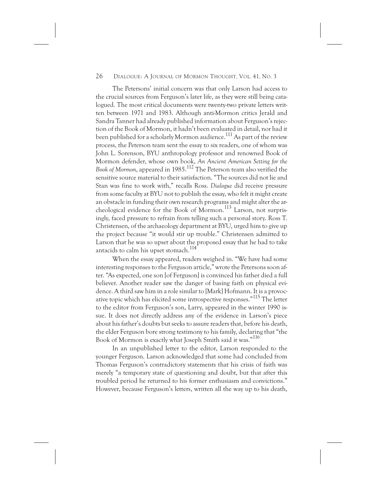The Petersons' initial concern was that only Larson had access to the crucial sources from Ferguson's later life, as they were still being catalogued. The most critical documents were twenty-two private letters written between 1971 and 1983. Although anti-Mormon critics Jerald and Sandra Tanner had already published information about Ferguson's rejection of the Book of Mormon, it hadn't been evaluated in detail, nor had it been published for a scholarly Mormon audience.<sup>111</sup> As part of the review process, the Peterson team sent the essay to six readers, one of whom was John L. Sorenson, BYU anthropology professor and renowned Book of Mormon defender, whose own book, *An Ancient American Setting for the Book of Mormon*, appeared in 1985.<sup>112</sup> The Peterson team also verified the sensitive source material to their satisfaction. "The sources did not lie and Stan was fine to work with," recalls Ross. *Dialogue* did receive pressure from some faculty at BYU not to publish the essay, who felt it might create an obstacle in funding their own research programs and might alter the archeological evidence for the Book of Mormon.<sup>113</sup> Larson, not surprisingly, faced pressure to refrain from telling such a personal story. Ross T. Christensen, of the archaeology department at BYU, urged him to give up the project because "it would stir up trouble." Christensen admitted to Larson that he was so upset about the proposed essay that he had to take antacids to calm his upset stomach.<sup>114</sup>

When the essay appeared, readers weighed in. "We have had some interesting responses to the Ferguson article," wrote the Petersons soon after. "As expected, one son [of Ferguson] is convinced his father died a full believer. Another reader saw the danger of basing faith on physical evidence. A third saw him in a role similar to [Mark] Hofmann. It is a provocative topic which has elicited some introspective responses."<sup>115</sup> The letter to the editor from Ferguson's son, Larry, appeared in the winter 1990 issue. It does not directly address any of the evidence in Larson's piece about his father's doubts but seeks to assure readers that, before his death, the elder Ferguson bore strong testimony to his family, declaring that "the Book of Mormon is exactly what Joseph Smith said it was."116

In an unpublished letter to the editor, Larson responded to the younger Ferguson. Larson acknowledged that some had concluded from Thomas Ferguson's contradictory statements that his crisis of faith was merely "a temporary state of questioning and doubt, but that after this troubled period he returned to his former enthusiasm and convictions." However, because Ferguson's letters, written all the way up to his death,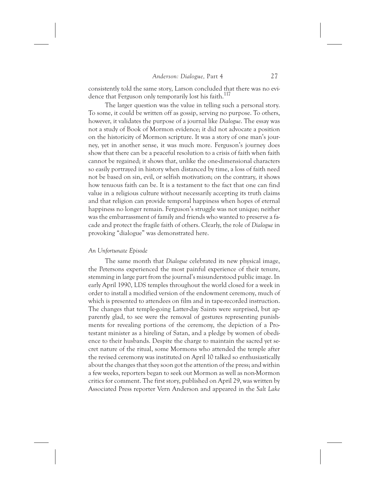consistently told the same story, Larson concluded that there was no evidence that Ferguson only temporarily lost his faith.<sup>117</sup>

The larger question was the value in telling such a personal story. To some, it could be written off as gossip, serving no purpose. To others, however, it validates the purpose of a journal like *Dialogue*. The essay was not a study of Book of Mormon evidence; it did not advocate a position on the historicity of Mormon scripture. It was a story of one man's journey, yet in another sense, it was much more. Ferguson's journey does show that there can be a peaceful resolution to a crisis of faith when faith cannot be regained; it shows that, unlike the one-dimensional characters so easily portrayed in history when distanced by time, a loss of faith need not be based on sin, evil, or selfish motivation; on the contrary, it shows how tenuous faith can be. It is a testament to the fact that one can find value in a religious culture without necessarily accepting its truth claims and that religion can provide temporal happiness when hopes of eternal happiness no longer remain. Ferguson's struggle was not unique; neither was the embarrassment of family and friends who wanted to preserve a facade and protect the fragile faith of others. Clearly, the role of *Dialogue* in provoking "dialogue" was demonstrated here.

#### *An Unfortunate Episode*

The same month that *Dialogue* celebrated its new physical image, the Petersons experienced the most painful experience of their tenure, stemming in large part from the journal's misunderstood public image. In early April 1990, LDS temples throughout the world closed for a week in order to install a modified version of the endowment ceremony, much of which is presented to attendees on film and in tape-recorded instruction. The changes that temple-going Latter-day Saints were surprised, but apparently glad, to see were the removal of gestures representing punishments for revealing portions of the ceremony, the depiction of a Protestant minister as a hireling of Satan, and a pledge by women of obedience to their husbands. Despite the charge to maintain the sacred yet secret nature of the ritual, some Mormons who attended the temple after the revised ceremony was instituted on April 10 talked so enthusiastically about the changes that they soon got the attention of the press; and within a few weeks, reporters began to seek out Mormon as well as non-Mormon critics for comment. The first story, published on April 29, was written by Associated Press reporter Vern Anderson and appeared in the *Salt Lake*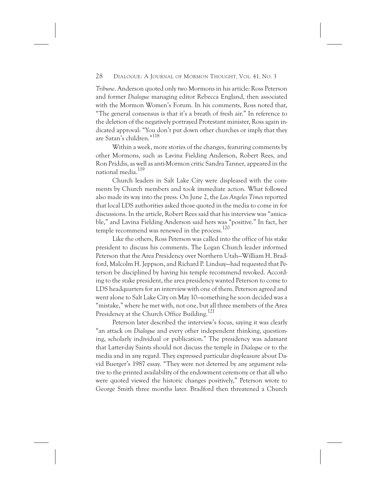*Tribune*. Anderson quoted only two Mormons in his article: Ross Peterson and former *Dialogue* managing editor Rebecca England, then associated with the Mormon Women's Forum. In his comments, Ross noted that, "The general consensus is that it's a breath of fresh air." In reference to the deletion of the negatively portrayed Protestant minister, Ross again indicated approval: "You don't put down other churches or imply that they are Satan's children."<sup>118</sup>

Within a week, more stories of the changes, featuring comments by other Mormons, such as Lavina Fielding Anderson, Robert Rees, and Ron Priddis, as well as anti-Mormon critic Sandra Tanner, appeared in the national media.<sup>119</sup>

Church leaders in Salt Lake City were displeased with the comments by Church members and took immediate action. What followed also made its way into the press. On June 2, the *Los Angeles Times* reported that local LDS authorities asked those quoted in the media to come in for discussions. In the article, Robert Rees said that his interview was "amicable," and Lavina Fielding Anderson said hers was "positive." In fact, her temple recommend was renewed in the process.<sup>120</sup>

Like the others, Ross Peterson was called into the office of his stake president to discuss his comments. The Logan Church leader informed Peterson that the Area Presidency over Northern Utah—William H. Bradford, Malcolm H. Jeppson, and Richard P. Lindsay—had requested that Peterson be disciplined by having his temple recommend revoked. According to the stake president, the area presidency wanted Peterson to come to LDS headquarters for an interview with one of them. Peterson agreed and went alone to Salt Lake City on May 10—something he soon decided was a "mistake," where he met with, not one, but all three members of the Area Presidency at the Church Office Building.<sup>121</sup>

Peterson later described the interview's focus, saying it was clearly "an attack on *Dialogue* and every other independent thinking, questioning, scholarly individual or publication." The presidency was adamant that Latter-day Saints should not discuss the temple in *Dialogue* or to the media and in any regard. They expressed particular displeasure about David Buerger's 1987 essay. "They were not deterred by any argument relative to the printed availability of the endowment ceremony or that all who were quoted viewed the historic changes positively," Peterson wrote to George Smith three months later. Bradford then threatened a Church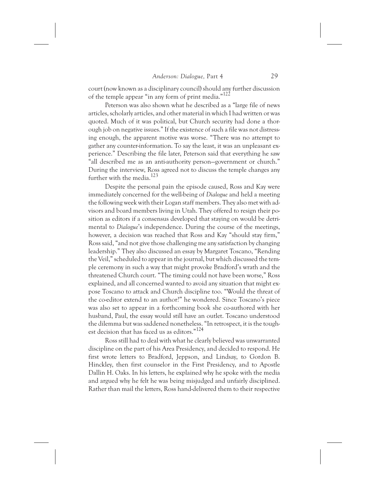court (now known as a disciplinary council) should any further discussion of the temple appear "in any form of print media." $122$ 

Peterson was also shown what he described as a "large file of news articles, scholarly articles, and other material in which I had written or was quoted. Much of it was political, but Church security had done a thorough job on negative issues." If the existence of such a file was not distressing enough, the apparent motive was worse. "There was no attempt to gather any counter-information. To say the least, it was an unpleasant experience." Describing the file later, Peterson said that everything he saw "all described me as an anti-authority person—government or church." During the interview, Ross agreed not to discuss the temple changes any further with the media.<sup>123</sup>

Despite the personal pain the episode caused, Ross and Kay were immediately concerned for the well-being of *Dialogue* and held a meeting the following week with their Logan staff members. They also met with advisors and board members living in Utah. They offered to resign their position as editors if a consensus developed that staying on would be detrimental to *Dialogue*'s independence. During the course of the meetings, however, a decision was reached that Ross and Kay "should stay firm," Ross said, "and not give those challenging me any satisfaction by changing leadership." They also discussed an essay by Margaret Toscano, "Rending the Veil," scheduled to appear in the journal, but which discussed the temple ceremony in such a way that might provoke Bradford's wrath and the threatened Church court. "The timing could not have been worse," Ross explained, and all concerned wanted to avoid any situation that might expose Toscano to attack and Church discipline too. "Would the threat of the co-editor extend to an author?" he wondered. Since Toscano's piece was also set to appear in a forthcoming book she co-authored with her husband, Paul, the essay would still have an outlet. Toscano understood the dilemma but was saddened nonetheless. "In retrospect, it is the toughest decision that has faced us as editors."124

Ross still had to deal with what he clearly believed was unwarranted discipline on the part of his Area Presidency, and decided to respond. He first wrote letters to Bradford, Jeppson, and Lindsay, to Gordon B. Hinckley, then first counselor in the First Presidency, and to Apostle Dallin H. Oaks. In his letters, he explained why he spoke with the media and argued why he felt he was being misjudged and unfairly disciplined. Rather than mail the letters, Ross hand-delivered them to their respective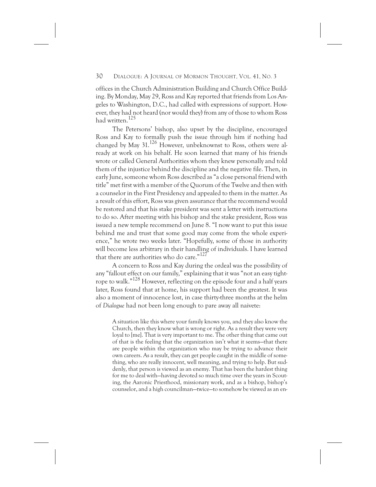offices in the Church Administration Building and Church Office Building. By Monday, May 29, Ross and Kay reported that friends from Los Angeles to Washington, D.C., had called with expressions of support. However, they had not heard (nor would they) from any of those to whom Ross had written.<sup>125</sup>

The Petersons' bishop, also upset by the discipline, encouraged Ross and Kay to formally push the issue through him if nothing had changed by May 31.126 However, unbeknownst to Ross, others were already at work on his behalf. He soon learned that many of his friends wrote or called General Authorities whom they knew personally and told them of the injustice behind the discipline and the negative file. Then, in early June, someone whom Ross described as "a close personal friend with title" met first with a member of the Quorum of the Twelve and then with a counselor in the First Presidency and appealed to them in the matter. As a result of this effort, Ross was given assurance that the recommend would be restored and that his stake president was sent a letter with instructions to do so. After meeting with his bishop and the stake president, Ross was issued a new temple recommend on June 8. "I now want to put this issue behind me and trust that some good may come from the whole experience," he wrote two weeks later. "Hopefully, some of those in authority will become less arbitrary in their handling of individuals. I have learned that there are authorities who do care."<sup>127</sup>

A concern to Ross and Kay during the ordeal was the possibility of any "fallout effect on our family," explaining that it was "not an easy tightrope to walk."128 However, reflecting on the episode four and a half years later, Ross found that at home, his support had been the greatest. It was also a moment of innocence lost, in case thirty-three months at the helm of *Dialogue* had not been long enough to pare away all naivete:

A situation like this where your family knows you, and they also know the Church, then they know what is wrong or right. As a result they were very loyal to [me]. That is very important to me. The other thing that came out of that is the feeling that the organization isn't what it seems—that there are people within the organization who may be trying to advance their own careers. As a result, they can get people caught in the middle of something, who are really innocent, well meaning, and trying to help. But suddenly, that person is viewed as an enemy. That has been the hardest thing for me to deal with—having devoted so much time over the years in Scouting, the Aaronic Priesthood, missionary work, and as a bishop, bishop's counselor, and a high councilman—twice—to somehow be viewed as an en-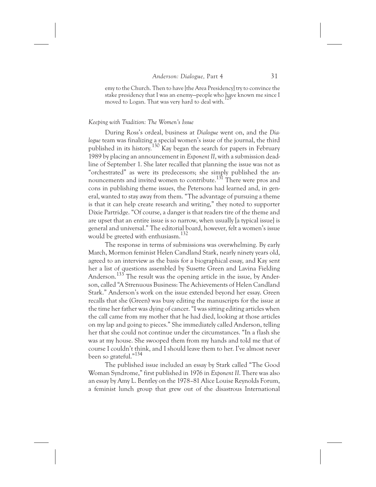emy to the Church. Then to have [the Area Presidency] try to convince the stake presidency that I was an enemy—people who have known me since I moved to Logan. That was very hard to deal with.

# *Keeping with Tradition: The Women's Issue*

During Ross's ordeal, business at *Dialogue* went on, and the *Dialogue* team was finalizing a special women's issue of the journal, the third published in its history.<sup>130</sup> Kay began the search for papers in February 1989 by placing an announcement in *Exponent II*, with a submission deadline of September 1. She later recalled that planning the issue was not as "orchestrated" as were its predecessors; she simply published the announcements and invited women to contribute.131 There were pros and cons in publishing theme issues, the Petersons had learned and, in general, wanted to stay away from them. "The advantage of pursuing a theme is that it can help create research and writing," they noted to supporter Dixie Partridge. "Of course, a danger is that readers tire of the theme and are upset that an entire issue is so narrow, when usually [a typical issue] is general and universal." The editorial board, however, felt a women's issue would be greeted with enthusiasm.132

The response in terms of submissions was overwhelming. By early March, Mormon feminist Helen Candland Stark, nearly ninety years old, agreed to an interview as the basis for a biographical essay, and Kay sent her a list of questions assembled by Susette Green and Lavina Fielding Anderson.<sup>133</sup> The result was the opening article in the issue, by Anderson, called "A Strenuous Business: The Achievements of Helen Candland Stark." Anderson's work on the issue extended beyond her essay. Green recalls that she (Green) was busy editing the manuscripts for the issue at the time her father was dying of cancer. "I was sitting editing articles when the call came from my mother that he had died, looking at those articles on my lap and going to pieces." She immediately called Anderson, telling her that she could not continue under the circumstances. "In a flash she was at my house. She swooped them from my hands and told me that of course I couldn't think, and I should leave them to her. I've almost never been so grateful."134

The published issue included an essay by Stark called "The Good Woman Syndrome," first published in 1976 in *Exponent II*. There was also an essay by Amy L. Bentley on the 1978–81 Alice Louise Reynolds Forum, a feminist lunch group that grew out of the disastrous International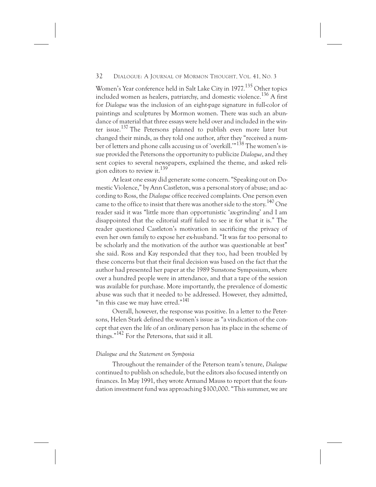Women's Year conference held in Salt Lake City in 1977.<sup>135</sup> Other topics included women as healers, patriarchy, and domestic violence.136 A first for *Dialogue* was the inclusion of an eight-page signature in full-color of paintings and sculptures by Mormon women. There was such an abundance of material that three essays were held over and included in the winter issue.<sup>137</sup> The Petersons planned to publish even more later but changed their minds, as they told one author, after they "received a number of letters and phone calls accusing us of 'overkill.'"<sup>138</sup> The women's issue provided the Petersons the opportunity to publicize *Dialogue*, and they sent copies to several newspapers, explained the theme, and asked religion editors to review it.<sup>139</sup>

At least one essay did generate some concern. "Speaking out on Domestic Violence," by Ann Castleton, was a personal story of abuse; and according to Ross, the *Dialogue* office received complaints. One person even came to the office to insist that there was another side to the story.<sup>140</sup> One reader said it was "little more than opportunistic 'ax-grinding' and I am disappointed that the editorial staff failed to see it for what it is." The reader questioned Castleton's motivation in sacrificing the privacy of even her own family to expose her ex-husband. "It was far too personal to be scholarly and the motivation of the author was questionable at best" she said. Ross and Kay responded that they too, had been troubled by these concerns but that their final decision was based on the fact that the author had presented her paper at the 1989 Sunstone Symposium, where over a hundred people were in attendance, and that a tape of the session was available for purchase. More importantly, the prevalence of domestic abuse was such that it needed to be addressed. However, they admitted, "in this case we may have erred."<sup>141</sup>

Overall, however, the response was positive. In a letter to the Petersons, Helen Stark defined the women's issue as "a vindication of the concept that even the life of an ordinary person has its place in the scheme of things."142 For the Petersons, that said it all.

#### *Dialogue and the Statement on Symposia*

Throughout the remainder of the Peterson team's tenure, *Dialogue* continued to publish on schedule, but the editors also focused intently on finances. In May 1991, they wrote Armand Mauss to report that the foundation investment fund was approaching \$100,000. "This summer, we are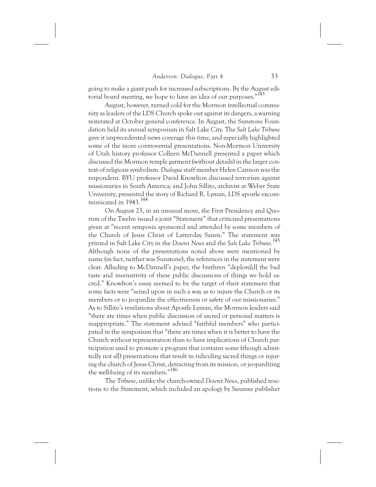going to make a giant push for increased subscriptions. By the August editorial board meeting, we hope to have an idea of our purposes."<sup>143</sup>

August, however, turned cold for the Mormon intellectual community as leaders of the LDS Church spoke out against its dangers, a warning reiterated at October general conference. In August, the Sunstone Foundation held its annual symposium in Salt Lake City. The *Salt Lake Tribune* gave it unprecedented news coverage this time, and especially highlighted some of the more controversial presentations. Non-Mormon University of Utah history professor Colleen McDannell presented a paper which discussed the Mormon temple garment (without details) in the larger context of religious symbolism. *Dialogue* staff member Helen Cannon was the respondent. BYU professor David Knowlton discussed terrorism against missionaries in South America; and John Sillito, archivist at Weber State University, presented the story of Richard R. Lyman, LDS apostle excommunicated in 1943.<sup>144</sup>

On August 23, in an unusual move, the First Presidency and Quorum of the Twelve issued a joint "Statement" that criticized presentations given at "recent symposia sponsored and attended by some members of the Church of Jesus Christ of Latter-day Saints." The statement was printed in Salt Lake City in the *Deseret News* and the *Salt Lake Tribune*. 145 Although none of the presentations noted above were mentioned by name (in fact, neither was Sunstone), the references in the statement were clear. Alluding to McDannell's paper, the brethren "deplore[d] the bad taste and insensitivity of these public discussions of things we hold sacred." Knowlton's essay seemed to be the target of their statement that some facts were "seized upon in such a way as to injure the Church or its members or to jeopardize the effectiveness or safety of our missionaries." As to Sillito's revelations about Apostle Lyman, the Mormon leaders said "there are times when public discussion of sacred or personal matters is inappropriate." The statement advised "faithful members" who participated in the symposium that "there are times when it is better to have the Church without representation than to have implications of Church participation used to promote a program that contains some (though admittedly not all) presentations that result in ridiculing sacred things or injuring the church of Jesus Christ, detracting from its mission, or jeopardizing the well-being of its members."146

The *Tribune*, unlike the church-owned *Deseret News*, published reactions to the Statement, which included an apology by *Sunstone* publisher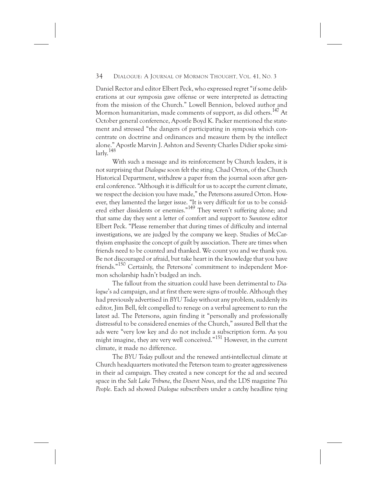Daniel Rector and editor Elbert Peck, who expressed regret "if some deliberations at our symposia gave offense or were interpreted as detracting from the mission of the Church." Lowell Bennion, beloved author and Mormon humanitarian, made comments of support, as did others.<sup>147</sup> At October general conference, Apostle Boyd K. Packer mentioned the statement and stressed "the dangers of participating in symposia which concentrate on doctrine and ordinances and measure them by the intellect alone." Apostle Marvin J. Ashton and Seventy Charles Didier spoke simi $lar<sub>l</sub>v<sub>148</sub>$ 

With such a message and its reinforcement by Church leaders, it is not surprising that *Dialogue* soon felt the sting. Chad Orton, of the Church Historical Department, withdrew a paper from the journal soon after general conference. "Although it is difficult for us to accept the current climate, we respect the decision you have made," the Petersons assured Orton. However, they lamented the larger issue. "It is very difficult for us to be considered either dissidents or enemies."149 They weren't suffering alone; and that same day they sent a letter of comfort and support to *Sunstone* editor Elbert Peck. "Please remember that during times of difficulty and internal investigations, we are judged by the company we keep. Studies of McCarthyism emphasize the concept of guilt by association. There are times when friends need to be counted and thanked. We count you and we thank you. Be not discouraged or afraid, but take heart in the knowledge that you have friends."<sup>150</sup> Certainly, the Petersons' commitment to independent Mormon scholarship hadn't budged an inch.

The fallout from the situation could have been detrimental to *Dialogue*'s ad campaign, and at first there were signs of trouble. Although they had previously advertised in *BYU Today* without any problem, suddenly its editor, Jim Bell, felt compelled to renege on a verbal agreement to run the latest ad. The Petersons, again finding it "personally and professionally distressful to be considered enemies of the Church," assured Bell that the ads were "very low key and do not include a subscription form. As you might imagine, they are very well conceived."<sup>151</sup> However, in the current climate, it made no difference.

The *BYU Today* pullout and the renewed anti-intellectual climate at Church headquarters motivated the Peterson team to greater aggressiveness in their ad campaign. They created a new concept for the ad and secured space in the *Salt Lake Tribune*, the *Deseret News*, and the LDS magazine *This People*. Each ad showed *Dialogue* subscribers under a catchy headline tying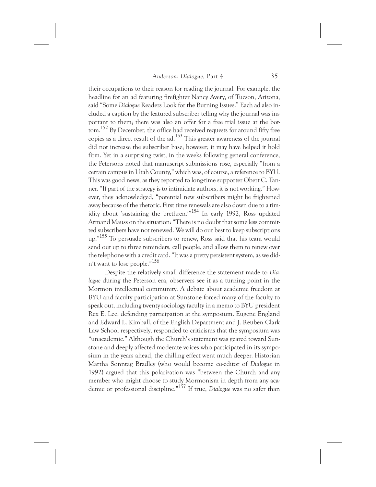their occupations to their reason for reading the journal. For example, the headline for an ad featuring firefighter Nancy Avery, of Tucson, Arizona, said "Some *Dialogue* Readers Look for the Burning Issues." Each ad also included a caption by the featured subscriber telling why the journal was important to them; there was also an offer for a free trial issue at the bottom.<sup>152</sup> By December, the office had received requests for around fifty free copies as a direct result of the ad.153 This greater awareness of the journal did not increase the subscriber base; however, it may have helped it hold firm. Yet in a surprising twist, in the weeks following general conference, the Petersons noted that manuscript submissions rose, especially "from a certain campus in Utah County," which was, of course, a reference to BYU. This was good news, as they reported to long-time supporter Obert C. Tanner. "If part of the strategy is to intimidate authors, it is not working." However, they acknowledged, "potential new subscribers might be frightened away because of the rhetoric. First time renewals are also down due to a timidity about 'sustaining the brethren.'"<sup>154</sup> In early 1992, Ross updated Armand Mauss on the situation: "There is no doubt that some less committed subscribers have not renewed. We will do our best to keep subscriptions up."155 To persuade subscribers to renew, Ross said that his team would send out up to three reminders, call people, and allow them to renew over the telephone with a credit card. "It was a pretty persistent system, as we didn't want to lose people."156

Despite the relatively small difference the statement made to *Dialogue* during the Peterson era, observers see it as a turning point in the Mormon intellectual community. A debate about academic freedom at BYU and faculty participation at Sunstone forced many of the faculty to speak out, including twenty sociology faculty in a memo to BYU president Rex E. Lee, defending participation at the symposium. Eugene England and Edward L. Kimball, of the English Department and J. Reuben Clark Law School respectively, responded to criticisms that the symposium was "unacademic." Although the Church's statement was geared toward Sunstone and deeply affected moderate voices who participated in its symposium in the years ahead, the chilling effect went much deeper. Historian Martha Sonntag Bradley (who would become co-editor of *Dialogue* in 1992) argued that this polarization was "between the Church and any member who might choose to study Mormonism in depth from any academic or professional discipline."157 If true, *Dialogue* was no safer than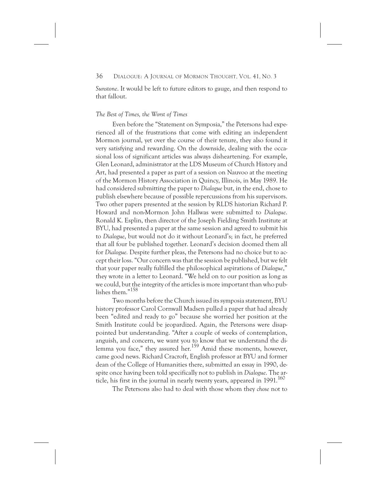*Sunstone*. It would be left to future editors to gauge, and then respond to that fallout.

# *The Best of Times, the Worst of Times*

Even before the "Statement on Symposia," the Petersons had experienced all of the frustrations that come with editing an independent Mormon journal, yet over the course of their tenure, they also found it very satisfying and rewarding. On the downside, dealing with the occasional loss of significant articles was always disheartening. For example, Glen Leonard, administrator at the LDS Museum of Church History and Art, had presented a paper as part of a session on Nauvoo at the meeting of the Mormon History Association in Quincy, Illinois, in May 1989. He had considered submitting the paper to *Dialogue* but, in the end, chose to publish elsewhere because of possible repercussions from his supervisors. Two other papers presented at the session by RLDS historian Richard P. Howard and non-Mormon John Hallwas were submitted to *Dialogue*. Ronald K. Esplin, then director of the Joseph Fielding Smith Institute at BYU, had presented a paper at the same session and agreed to submit his to *Dialogue*, but would not do it without Leonard's; in fact, he preferred that all four be published together. Leonard's decision doomed them all for *Dialogue.* Despite further pleas, the Petersons had no choice but to accept their loss. "Our concern was that the session be published, but we felt that your paper really fulfilled the philosophical aspirations of *Dialogue*," they wrote in a letter to Leonard. "We held on to our position as long as we could, but the integrity of the articles is more important than who publishes them."<sup>158</sup>

Two months before the Church issued its symposia statement, BYU history professor Carol Cornwall Madsen pulled a paper that had already been "edited and ready to go" because she worried her position at the Smith Institute could be jeopardized. Again, the Petersons were disappointed but understanding. "After a couple of weeks of contemplation, anguish, and concern, we want you to know that we understand the dilemma you face," they assured her.<sup>159</sup> Amid these moments, however, came good news. Richard Cracroft, English professor at BYU and former dean of the College of Humanities there, submitted an essay in 1990, despite once having been told specifically not to publish in *Dialogue*. The article, his first in the journal in nearly twenty years, appeared in  $1991$ <sup>160</sup>

The Petersons also had to deal with those whom they *chose* not to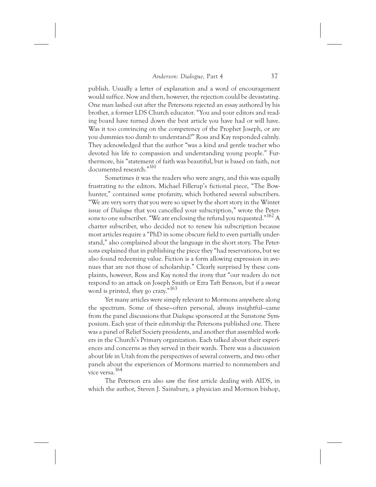publish. Usually a letter of explanation and a word of encouragement would suffice. Now and then, however, the rejection could be devastating. One man lashed out after the Petersons rejected an essay authored by his brother, a former LDS Church educator. "You and your editors and reading board have turned down the best article you have had or will have. Was it too convincing on the competency of the Prophet Joseph, or are you dummies too dumb to understand?" Ross and Kay responded calmly. They acknowledged that the author "was a kind and gentle teacher who devoted his life to compassion and understanding young people." Furthermore, his "statement of faith was beautiful, but is based on faith, not documented research."<sup>161</sup>

Sometimes it was the readers who were angry, and this was equally frustrating to the editors. Michael Fillerup's fictional piece, "The Bowhunter," contained some profanity, which bothered several subscribers. "We are very sorry that you were so upset by the short story in the Winter issue of *Dialogue* that you cancelled your subscription," wrote the Petersons to one subscriber. "We are enclosing the refund you requested."162 A charter subscriber, who decided not to renew his subscription because most articles require a "PhD in some obscure field to even partially understand," also complained about the language in the short story. The Petersons explained that in publishing the piece they "had reservations, but we also found redeeming value. Fiction is a form allowing expression in avenues that are not those of scholarship." Clearly surprised by these complaints, however, Ross and Kay noted the irony that "our readers do not respond to an attack on Joseph Smith or Ezra Taft Benson, but if a swear word is printed, they go crazy."163

Yet many articles were simply relevant to Mormons anywhere along the spectrum. Some of these—often personal, always insightful—came from the panel discussions that *Dialogue* sponsored at the Sunstone Symposium. Each year of their editorship the Petersons published one. There was a panel of Relief Society presidents, and another that assembled workers in the Church's Primary organization. Each talked about their experiences and concerns as they served in their wards. There was a discussion about life in Utah from the perspectives of several converts, and two other panels about the experiences of Mormons married to nonmembers and vice versa.164

The Peterson era also saw the first article dealing with AIDS, in which the author, Steven J. Sainsbury, a physician and Mormon bishop,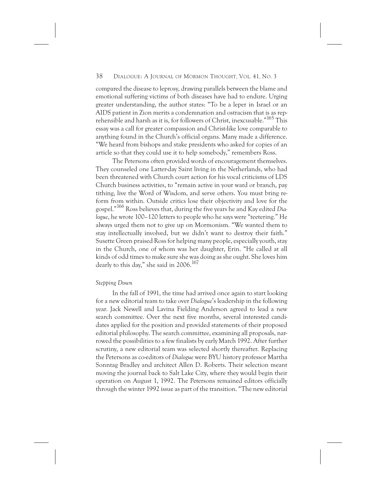compared the disease to leprosy, drawing parallels between the blame and emotional suffering victims of both diseases have had to endure. Urging greater understanding, the author states: "To be a leper in Israel or an AIDS patient in Zion merits a condemnation and ostracism that is as reprehensible and harsh as it is, for followers of Christ, inexcusable."<sup>165</sup> This essay was a call for greater compassion and Christ-like love comparable to anything found in the Church's official organs. Many made a difference. "We heard from bishops and stake presidents who asked for copies of an article so that they could use it to help somebody," remembers Ross.

The Petersons often provided words of encouragement themselves. They counseled one Latter-day Saint living in the Netherlands, who had been threatened with Church court action for his vocal criticisms of LDS Church business activities, to "remain active in your ward or branch, pay tithing, live the Word of Wisdom, and serve others. You must bring reform from within. Outside critics lose their objectivity and love for the gospel."166 Ross believes that, during the five years he and Kay edited *Dialogue*, he wrote 100–120 letters to people who he says were "teetering." He always urged them not to give up on Mormonism. "We wanted them to stay intellectually involved, but we didn't want to destroy their faith." Susette Green praised Ross for helping many people, especially youth, stay in the Church, one of whom was her daughter, Erin. "He called at all kinds of odd times to make sure she was doing as she ought. She loves him dearly to this day," she said in  $2006$ .<sup>167</sup>

# *Stepping Down*

In the fall of 1991, the time had arrived once again to start looking for a new editorial team to take over *Dialogue*'s leadership in the following year. Jack Newell and Lavina Fielding Anderson agreed to lead a new search committee. Over the next five months, several interested candidates applied for the position and provided statements of their proposed editorial philosophy. The search committee, examining all proposals, narrowed the possibilities to a few finalists by early March 1992. After further scrutiny, a new editorial team was selected shortly thereafter. Replacing the Petersons as co-editors of *Dialogue* were BYU history professor Martha Sonntag Bradley and architect Allen D. Roberts. Their selection meant moving the journal back to Salt Lake City, where they would begin their operation on August 1, 1992. The Petersons remained editors officially through the winter 1992 issue as part of the transition. "The new editorial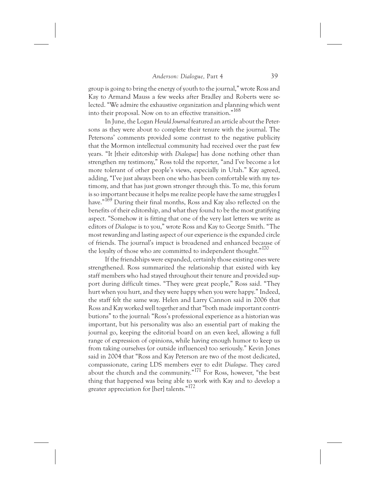group is going to bring the energy of youth to the journal," wrote Ross and Kay to Armand Mauss a few weeks after Bradley and Roberts were selected. "We admire the exhaustive organization and planning which went into their proposal. Now on to an effective transition."168

In June, the Logan *Herald Journal* featured an article about the Petersons as they were about to complete their tenure with the journal. The Petersons' comments provided some contrast to the negative publicity that the Mormon intellectual community had received over the past few years. "It [their editorship with *Dialogue*] has done nothing other than strengthen my testimony," Ross told the reporter, "and I've become a lot more tolerant of other people's views, especially in Utah." Kay agreed, adding, "I've just always been one who has been comfortable with my testimony, and that has just grown stronger through this. To me, this forum is so important because it helps me realize people have the same struggles I have."169 During their final months, Ross and Kay also reflected on the benefits of their editorship, and what they found to be the most gratifying aspect. "Somehow it is fitting that one of the very last letters we write as editors of *Dialogue* is to you," wrote Ross and Kay to George Smith. "The most rewarding and lasting aspect of our experience is the expanded circle of friends. The journal's impact is broadened and enhanced because of the loyalty of those who are committed to independent thought."<sup>170</sup>

If the friendships were expanded, certainly those existing ones were strengthened. Ross summarized the relationship that existed with key staff members who had stayed throughout their tenure and provided support during difficult times. "They were great people," Ross said. "They hurt when you hurt, and they were happy when you were happy." Indeed, the staff felt the same way. Helen and Larry Cannon said in 2006 that Ross and Kay worked well together and that "both made important contributions" to the journal: "Ross's professional experience as a historian was important, but his personality was also an essential part of making the journal go, keeping the editorial board on an even keel, allowing a full range of expression of opinions, while having enough humor to keep us from taking ourselves (or outside influences) too seriously." Kevin Jones said in 2004 that "Ross and Kay Peterson are two of the most dedicated, compassionate, caring LDS members ever to edit *Dialogue*. They cared about the church and the community."171 For Ross, however, "the best thing that happened was being able to work with Kay and to develop a greater appreciation for [her] talents."172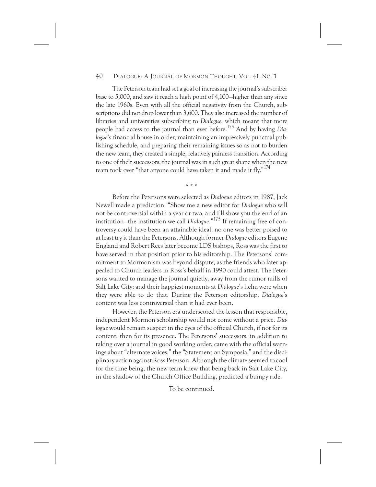The Peterson team had set a goal of increasing the journal's subscriber base to 5,000, and saw it reach a high point of 4,100—higher than any since the late 1960s. Even with all the official negativity from the Church, subscriptions did not drop lower than 3,600. They also increased the number of libraries and universities subscribing to *Dialogue*, which meant that more people had access to the journal than ever before.173 And by having *Dialogue*'s financial house in order, maintaining an impressively punctual publishing schedule, and preparing their remaining issues so as not to burden the new team, they created a simple, relatively painless transition. According to one of their successors, the journal was in such great shape when the new team took over "that anyone could have taken it and made it fly."<sup>174</sup>

\*\*\*

Before the Petersons were selected as *Dialogue* editors in 1987, Jack Newell made a prediction. "Show me a new editor for *Dialogue* who will not be controversial within a year or two, and I'll show you the end of an institution—the institution we call *Dialogue*."175 If remaining free of controversy could have been an attainable ideal, no one was better poised to at least try it than the Petersons. Although former *Dialogue* editors Eugene England and Robert Rees later become LDS bishops, Ross was the first to have served in that position prior to his editorship. The Petersons' commitment to Mormonism was beyond dispute, as the friends who later appealed to Church leaders in Ross's behalf in 1990 could attest. The Petersons wanted to manage the journal quietly, away from the rumor mills of Salt Lake City; and their happiest moments at *Dialogue*'s helm were when they were able to do that. During the Peterson editorship, *Dialogue*'s content was less controversial than it had ever been.

However, the Peterson era underscored the lesson that responsible, independent Mormon scholarship would not come without a price. *Dialogue* would remain suspect in the eyes of the official Church, if not for its content, then for its presence. The Petersons' successors, in addition to taking over a journal in good working order, came with the official warnings about "alternate voices," the "Statement on Symposia," and the disciplinary action against Ross Peterson. Although the climate seemed to cool for the time being, the new team knew that being back in Salt Lake City, in the shadow of the Church Office Building, predicted a bumpy ride.

To be continued.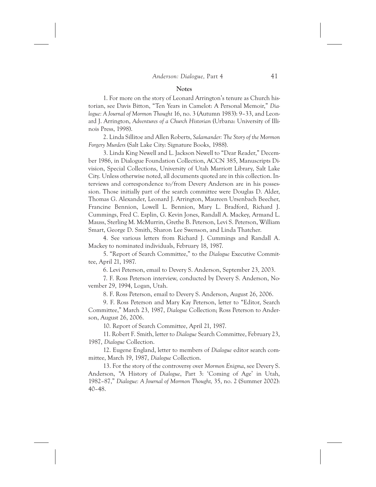#### **Notes**

1. For more on the story of Leonard Arrington's tenure as Church historian, see Davis Bitton, "Ten Years in Camelot: A Personal Memoir," *Dialogue: A Journal of Mormon Thought* 16, no. 3 (Autumn 1983): 9–33, and Leonard J. Arrington, *Adventures of a Church Historian* (Urbana: University of Illinois Press, 1998).

2. Linda Sillitoe and Allen Roberts, *Salamander: The Story of the Mormon Forgery Murders* (Salt Lake City: Signature Books, 1988).

3. Linda King Newell and L. Jackson Newell to "Dear Reader," December 1986, in Dialogue Foundation Collection, ACCN 385, Manuscripts Division, Special Collections, University of Utah Marriott Library, Salt Lake City. Unless otherwise noted, all documents quoted are in this collection. Interviews and correspondence to/from Devery Anderson are in his possession. Those initially part of the search committee were Douglas D. Alder, Thomas G. Alexander, Leonard J. Arrington, Maureen Ursenbach Beecher, Francine Bennion, Lowell L. Bennion, Mary L. Bradford, Richard J. Cummings, Fred C. Esplin, G. Kevin Jones, Randall A. Mackey, Armand L. Mauss, Sterling M. McMurrin, Grethe B. Peterson, Levi S. Peterson, William Smart, George D. Smith, Sharon Lee Swenson, and Linda Thatcher.

4. See various letters from Richard J. Cummings and Randall A. Mackey to nominated individuals, February 18, 1987.

5. "Report of Search Committee," to the *Dialogue* Executive Committee, April 21, 1987.

6. Levi Peterson, email to Devery S. Anderson, September 23, 2003.

7. F. Ross Peterson interview, conducted by Devery S. Anderson, November 29, 1994, Logan, Utah.

8. F. Ross Peterson, email to Devery S. Anderson, August 26, 2006.

9. F. Ross Peterson and Mary Kay Peterson, letter to "Editor, Search Committee," March 23, 1987, *Dialogue* Collection; Ross Peterson to Anderson, August 26, 2006.

10. Report of Search Committee, April 21, 1987.

11. Robert F. Smith, letter to *Dialogue* Search Committee, February 23, 1987, *Dialogue* Collection.

12. Eugene England, letter to members of *Dialogue* editor search committee, March 19, 1987, *Dialogue* Collection.

13. For the story of the controversy over *Mormon Enigma*, see Devery S. Anderson, "A History of *Dialogue*, Part 3: 'Coming of Age' in Utah, 1982–87," *Dialogue: A Journal of Mormon Thought,* 35, no. 2 (Summer 2002): 40–48.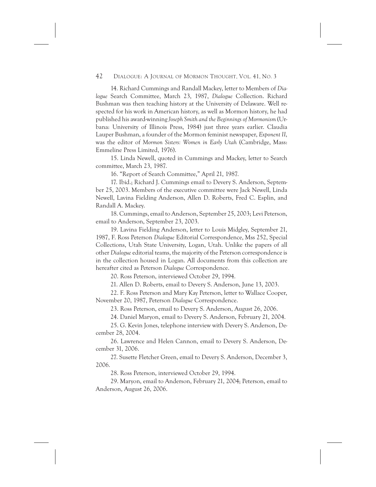14. Richard Cummings and Randall Mackey, letter to Members of *Dialogue* Search Committee, March 23, 1987, *Dialogue* Collection. Richard Bushman was then teaching history at the University of Delaware. Well respected for his work in American history, as well as Mormon history, he had published his award-winning *Joseph Smith and the Beginnings of Mormonism* (Urbana: University of Illinois Press, 1984) just three years earlier. Claudia Lauper Bushman, a founder of the Mormon feminist newspaper, *Exponent II*, was the editor of *Mormon Sisters: Women in Early Utah* (Cambridge, Mass: Emmeline Press Limited, 1976).

15. Linda Newell, quoted in Cummings and Mackey, letter to Search committee, March 23, 1987.

16. "Report of Search Committee," April 21, 1987.

17. Ibid.; Richard J. Cummings email to Devery S. Anderson, September 25, 2003. Members of the executive committee were Jack Newell, Linda Newell, Lavina Fielding Anderson, Allen D. Roberts, Fred C. Esplin, and Randall A. Mackey.

18. Cummings, email to Anderson, September 25, 2003; Levi Peterson, email to Anderson, September 23, 2003.

19. Lavina Fielding Anderson, letter to Louis Midgley, September 21, 1987, F. Ross Peterson *Dialogue* Editorial Correspondence, Mss 252, Special Collections, Utah State University, Logan, Utah. Unlike the papers of all other *Dialogue* editorial teams, the majority of the Peterson correspondence is in the collection housed in Logan. All documents from this collection are hereafter cited as Peterson *Dialogue* Correspondence.

20. Ross Peterson, interviewed October 29, 1994.

21. Allen D. Roberts, email to Devery S. Anderson, June 13, 2003.

22. F. Ross Peterson and Mary Kay Peterson, letter to Wallace Cooper, November 20, 1987, Peterson *Dialogue* Correspondence.

23. Ross Peterson, email to Devery S. Anderson, August 26, 2006.

24. Daniel Maryon, email to Devery S. Anderson, February 21, 2004.

25. G. Kevin Jones, telephone interview with Devery S. Anderson, December 28, 2004.

26. Lawrence and Helen Cannon, email to Devery S. Anderson, December 31, 2006.

27. Susette Fletcher Green, email to Devery S. Anderson, December 3, 2006.

28. Ross Peterson, interviewed October 29, 1994.

29. Maryon, email to Anderson, February 21, 2004; Peterson, email to Anderson, August 26, 2006.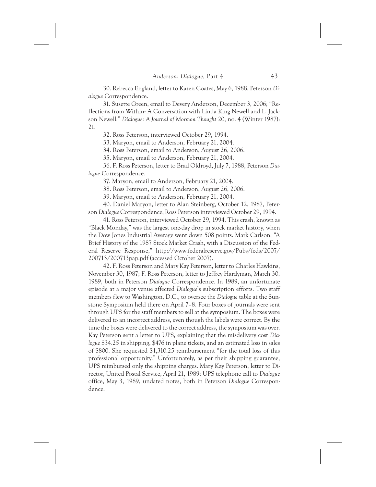30. Rebecca England, letter to Karen Coates, May 6, 1988, Peterson *Dialogue* Correspondence.

31. Susette Green, email to Devery Anderson, December 3, 2006; "Reflections from Within: A Conversation with Linda King Newell and L. Jackson Newell," *Dialogue: A Journal of Mormon Thought* 20, no. 4 (Winter 1987): 21.

32. Ross Peterson, interviewed October 29, 1994.

33. Maryon, email to Anderson, February 21, 2004.

34. Ross Peterson, email to Anderson, August 26, 2006.

35. Maryon, email to Anderson, February 21, 2004.

36. F. Ross Peterson, letter to Brad Oldroyd, July 7, 1988, Peterson *Dialogue* Correspondence.

37. Maryon, email to Anderson, February 21, 2004.

38. Ross Peterson, email to Anderson, August 26, 2006.

39. Maryon, email to Anderson, February 21, 2004.

40. Daniel Maryon, letter to Alan Steinberg, October 12, 1987, Peterson *Dialogue* Correspondence; Ross Peterson interviewed October 29, 1994.

41. Ross Peterson, interviewed October 29, 1994. This crash, known as "Black Monday," was the largest one-day drop in stock market history, when the Dow Jones Industrial Average went down 508 points. Mark Carlson, "A Brief History of the 1987 Stock Market Crash, with a Discussion of the Federal Reserve Response," http://www.federalreserve.gov/Pubs/feds/2007/ 200713/200713pap.pdf (accessed October 2007).

42. F. Ross Peterson and Mary Kay Peterson, letter to Charles Hawkins, November 30, 1987; F. Ross Peterson, letter to Jeffrey Hardyman, March 30, 1989, both in Peterson *Dialogue* Correspondence. In 1989, an unfortunate episode at a major venue affected *Dialogue*'s subscription efforts. Two staff members flew to Washington, D.C., to oversee the *Dialogue* table at the Sunstone Symposium held there on April 7–8. Four boxes of journals were sent through UPS for the staff members to sell at the symposium. The boxes were delivered to an incorrect address, even though the labels were correct. By the time the boxes were delivered to the correct address, the symposium was over. Kay Peterson sent a letter to UPS, explaining that the misdelivery cost *Dialogue* \$34.25 in shipping, \$476 in plane tickets, and an estimated loss in sales of \$800. She requested \$1,310.25 reimbursement "for the total loss of this professional opportunity." Unfortunately, as per their shipping guarantee, UPS reimbursed only the shipping charges. Mary Kay Peterson, letter to Director, United Postal Service, April 21, 1989; UPS telephone call to *Dialogue* office, May 3, 1989, undated notes, both in Peterson *Dialogue* Correspondence.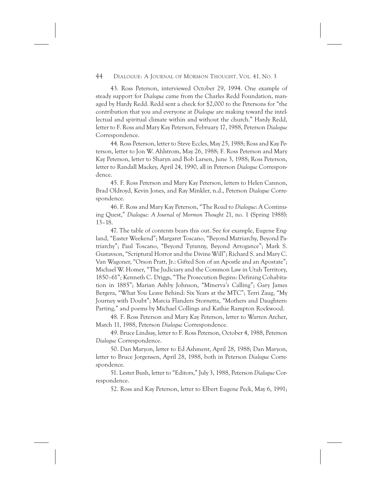43. Ross Peterson, interviewed October 29, 1994. One example of steady support for *Dialogue* came from the Charles Redd Foundation, managed by Hardy Redd. Redd sent a check for \$2,000 to the Petersons for "the contribution that you and everyone at *Dialogue* are making toward the intellectual and spiritual climate within and without the church." Hardy Redd, letter to F. Ross and Mary Kay Peterson, February 17, 1988, Peterson *Dialogue* Correspondence.

44. Ross Peterson, letter to Steve Eccles, May 25, 1988; Ross and Kay Peterson, letter to Jon W. Ahlstrom, May 26, 1988; F. Ross Peterson and Mary Kay Peterson, letter to Sharyn and Bob Larsen, June 3, 1988; Ross Peterson, letter to Randall Mackey, April 24, 1990, all in Peterson *Dialogue* Correspondence.

45. F. Ross Peterson and Mary Kay Peterson, letters to Helen Cannon, Brad Oldroyd, Kevin Jones, and Ray Minkler, n.d., Peterson *Dialogue* Correspondence.

46. F. Ross and Mary Kay Peterson, "The Road to *Dialogue*: A Continuing Quest," *Dialogue: A Journal of Mormon Thought* 21, no. 1 (Spring 1988): 13–18.

47. The table of contents bears this out. See for example, Eugene England, "Easter Weekend"; Margaret Toscano, "Beyond Matriarchy, Beyond Patriarchy"; Paul Toscano, "Beyond Tyranny, Beyond Arrogance"; Mark S. Gustavson, "Scriptural Horror and the Divine Will"; Richard S. and Mary C. Van Wagoner, "Orson Pratt, Jr.: Gifted Son of an Apostle and an Apostate"; Michael W. Homer, "The Judiciary and the Common Law in Utah Territory, 1850–61"; Kenneth C. Driggs, "The Prosecution Begins: Defining Cohabitation in 1885"; Marian Ashby Johnson, "Minerva's Calling"; Gary James Bergera, "What You Leave Behind: Six Years at the MTC"; Terri Zaug, "My Journey with Doubt"; Marcia Flanders Stornetta, "Mothers and Daughters: Parting," and poems by Michael Collings and Kathie Rampton Rockwood.

48. F. Ross Peterson and Mary Kay Peterson, letter to Warren Archer, March 11, 1988, Peterson *Dialogue* Correspondence.

49. Bruce Lindsay, letter to F. Ross Peterson, October 4, 1988, Peterson *Dialogue* Correspondence.

50. Dan Maryon, letter to Ed Ashment, April 28, 1988; Dan Maryon, letter to Bruce Jorgensen, April 28, 1988, both in Peterson *Dialogue* Correspondence.

51. Lester Bush, letter to "Editors," July 3, 1988, Peterson *Dialogue* Correspondence.

52. Ross and Kay Peterson, letter to Elbert Eugene Peck, May 6, 1991;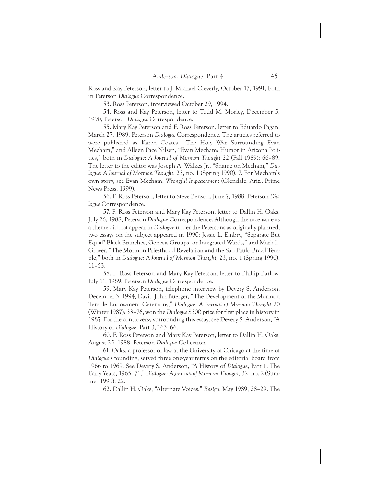Ross and Kay Peterson, letter to J. Michael Cleverly, October 17, 1991, both in Peterson *Dialogue* Correspondence.

53. Ross Peterson, interviewed October 29, 1994.

54. Ross and Kay Peterson, letter to Todd M. Morley, December 5, 1990, Peterson *Dialogue* Correspondence.

55. Mary Kay Peterson and F. Ross Peterson, letter to Eduardo Pagan, March 27, 1989, Peterson *Dialogue* Correspondence. The articles referred to were published as Karen Coates, "The Holy War Surrounding Evan Mecham," and Alleen Pace Nilsen, "Evan Mecham: Humor in Arizona Politics," both in *Dialogue: A Journal of Mormon Thought* 22 (Fall 1989): 66–89. The letter to the editor was Joseph A. Walkes Jr., "Shame on Mecham," *Dialogue: A Journal of Mormon Thought,* 23, no. 1 (Spring 1990): 7. For Mecham's own story, see Evan Mecham, *Wrongful Impeachment* (Glendale, Ariz.: Prime News Press, 1999).

56. F. Ross Peterson, letter to Steve Benson, June 7, 1988, Peterson *Dialogue* Correspondence.

57. F. Ross Peterson and Mary Kay Peterson, letter to Dallin H. Oaks, July 26, 1988, Peterson *Dialogue* Correspondence. Although the race issue as a theme did not appear in *Dialogue* under the Petersons as originally planned, two essays on the subject appeared in 1990: Jessie L. Embry, "Separate But Equal? Black Branches, Genesis Groups, or Integrated Wards," and Mark L. Grover, "The Mormon Priesthood Revelation and the Sao Paulo Brazil Temple," both in *Dialogue: A Journal of Mormon Thought,* 23, no. 1 (Spring 1990): 11–53.

58. F. Ross Peterson and Mary Kay Peterson, letter to Phillip Barlow, July 11, 1989, Peterson *Dialogue* Correspondence.

59. Mary Kay Peterson, telephone interview by Devery S. Anderson, December 3, 1994, David John Buerger, "The Development of the Mormon Temple Endowment Ceremony," *Dialogue: A Journal of Mormon Thought* 20 (Winter 1987): 33–76, won the *Dialogue* \$300 prize for first place in history in 1987. For the controversy surrounding this essay, see Devery S. Anderson, "A History of *Dialogue*, Part 3," 63–66.

60. F. Ross Peterson and Mary Kay Peterson, letter to Dallin H. Oaks, August 25, 1988, Peterson *Dialogue* Collection.

61. Oaks, a professor of law at the University of Chicago at the time of *Dialogue*'s founding, served three one-year terms on the editorial board from 1966 to 1969. See Devery S. Anderson, "A History of *Dialogue*, Part 1: The Early Years, 1965–71," *Dialogue: A Journal of Mormon Thought,* 32, no. 2 (Summer 1999): 22.

62. Dallin H. Oaks, "Alternate Voices," *Ensign*, May 1989, 28–29. The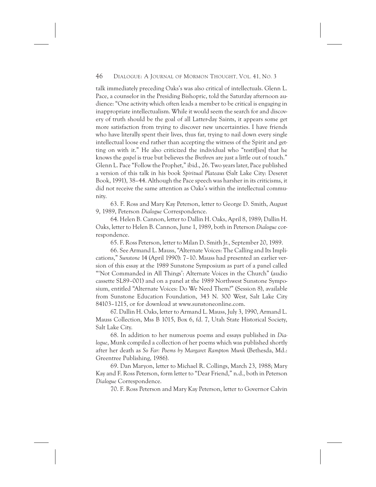talk immediately preceding Oaks's was also critical of intellectuals. Glenn L. Pace, a counselor in the Presiding Bishopric, told the Saturday afternoon audience: "One activity which often leads a member to be critical is engaging in inappropriate intellectualism. While it would seem the search for and discovery of truth should be the goal of all Latter-day Saints, it appears some get more satisfaction from trying to discover new uncertainties. I have friends who have literally spent their lives, thus far, trying to nail down every single intellectual loose end rather than accepting the witness of the Spirit and getting on with it." He also criticized the individual who "testif[ies] that he knows the *gospel* is true but believes the *Brethren* are just a little out of touch." Glenn L. Pace "Follow the Prophet," ibid., 26. Two years later, Pace published a version of this talk in his book *Spiritual Plateaus* (Salt Lake City: Deseret Book, 1991), 38–44. Although the Pace speech was harsher in its criticisms, it did not receive the same attention as Oaks's within the intellectual community.

63. F. Ross and Mary Kay Peterson, letter to George D. Smith, August 9, 1989, Peterson *Dialogue* Correspondence.

64. Helen B. Cannon, letter to Dallin H. Oaks, April 8, 1989; Dallin H. Oaks, letter to Helen B. Cannon, June 1, 1989, both in Peterson *Dialogue* correspondence.

65. F. Ross Peterson, letter to Milan D. Smith Jr., September 20, 1989.

66. See Armand L. Mauss, "Alternate Voices: The Calling and Its Implications," *Sunstone* 14 (April 1990): 7–10. Mauss had presented an earlier version of this essay at the 1989 Sunstone Symposium as part of a panel called "'Not Commanded in All Things': Alternate Voices in the Church" (audio cassette SL89–001) and on a panel at the 1989 Northwest Sunstone Symposium, entitled "Alternate Voices: Do We Need Them?" (Session 8), available from Sunstone Education Foundation, 343 N. 300 West, Salt Lake City 84103–1215, or for download at www.sunstoneonline.com.

67. Dallin H. Oaks, letter to Armand L. Mauss, July 3, 1990, Armand L. Mauss Collection, Mss B 1015, Box 6, fd. 7, Utah State Historical Society, Salt Lake City.

68. In addition to her numerous poems and essays published in *Dialogue*, Munk compiled a collection of her poems which was published shortly after her death as *So Far: Poems by Margaret Rampton Munk* (Bethesda, Md.: Greentree Publishing, 1986).

69. Dan Maryon, letter to Michael R. Collings, March 23, 1988; Mary Kay and F. Ross Peterson, form letter to "Dear Friend," n.d., both in Peterson *Dialogue* Correspondence.

70. F. Ross Peterson and Mary Kay Peterson, letter to Governor Calvin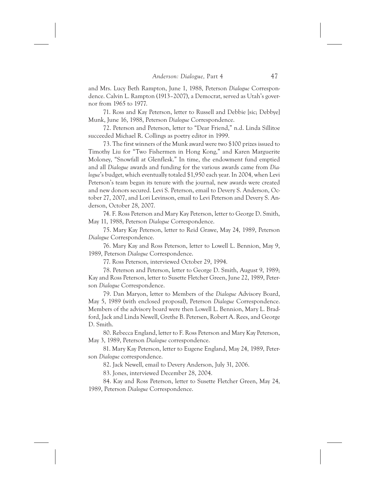and Mrs. Lucy Beth Rampton, June 1, 1988, Peterson *Dialogue* Correspondence. Calvin L. Rampton (1913–2007), a Democrat, served as Utah's governor from 1965 to 1977.

71. Ross and Kay Peterson, letter to Russell and Debbie [sic; Debbye] Munk, June 16, 1988, Peterson *Dialogue* Correspondence.

72. Peterson and Peterson, letter to "Dear Friend," n.d. Linda Sillitoe succeeded Michael R. Collings as poetry editor in 1999.

73. The first winners of the Munk award were two \$100 prizes issued to Timothy Liu for "Two Fishermen in Hong Kong," and Karen Marguerite Moloney, "Snowfall at Glenflesk." In time, the endowment fund emptied and all *Dialogue* awards and funding for the various awards came from *Dialogue*'s budget, which eventually totaled \$1,950 each year. In 2004, when Levi Peterson's team began its tenure with the journal, new awards were created and new donors secured. Levi S. Peterson, email to Devery S. Anderson, October 27, 2007, and Lori Levinson, email to Levi Peterson and Devery S. Anderson, October 28, 2007.

74. F. Ross Peterson and Mary Kay Peterson, letter to George D. Smith, May 11, 1988, Peterson *Dialogue* Correspondence.

75. Mary Kay Peterson, letter to Reid Grawe, May 24, 1989, Peterson *Dialogue* Correspondence.

76. Mary Kay and Ross Peterson, letter to Lowell L. Bennion, May 9, 1989, Peterson *Dialogue* Correspondence.

77. Ross Peterson, interviewed October 29, 1994.

78. Peterson and Peterson, letter to George D. Smith, August 9, 1989; Kay and Ross Peterson, letter to Susette Fletcher Green, June 22, 1989, Peterson *Dialogue* Correspondence.

79. Dan Maryon, letter to Members of the *Dialogue* Advisory Board, May 5, 1989 (with enclosed proposal), Peterson *Dialogue* Correspondence. Members of the advisory board were then Lowell L. Bennion, Mary L. Bradford, Jack and Linda Newell, Grethe B. Petersen, Robert A. Rees, and George D. Smith.

80. Rebecca England, letter to F. Ross Peterson and Mary Kay Peterson, May 3, 1989, Peterson *Dialogue* correspondence.

81. Mary Kay Peterson, letter to Eugene England, May 24, 1989, Peterson *Dialogue* correspondence.

82. Jack Newell, email to Devery Anderson, July 31, 2006.

83. Jones, interviewed December 28, 2004.

84. Kay and Ross Peterson, letter to Susette Fletcher Green, May 24, 1989, Peterson *Dialogue* Correspondence.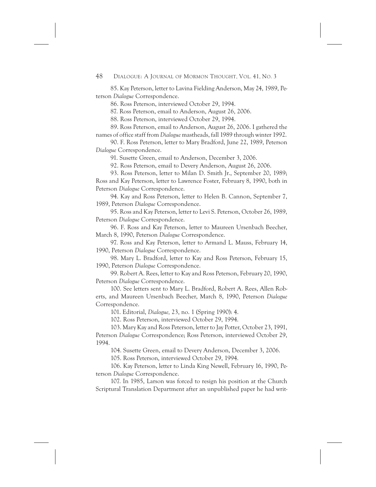85. Kay Peterson, letter to Lavina Fielding Anderson, May 24, 1989, Peterson *Dialogue* Correspondence.

86. Ross Peterson, interviewed October 29, 1994.

87. Ross Peterson, email to Anderson, August 26, 2006.

88. Ross Peterson, interviewed October 29, 1994.

89. Ross Peterson, email to Anderson, August 26, 2006. I gathered the names of office staff from *Dialogue* mastheads, fall 1989 through winter 1992.

90. F. Ross Peterson, letter to Mary Bradford, June 22, 1989, Peterson *Dialogue* Correspondence.

91. Susette Green, email to Anderson, December 3, 2006.

92. Ross Peterson, email to Devery Anderson, August 26, 2006.

93. Ross Peterson, letter to Milan D. Smith Jr., September 20, 1989; Ross and Kay Peterson, letter to Lawrence Foster, February 8, 1990, both in Peterson *Dialogue* Correspondence.

94. Kay and Ross Peterson, letter to Helen B. Cannon, September 7, 1989, Peterson *Dialogue* Correspondence.

95. Ross and Kay Peterson, letter to Levi S. Peterson, October 26, 1989, Peterson *Dialogue* Correspondence.

96. F. Ross and Kay Peterson, letter to Maureen Ursenbach Beecher, March 8, 1990, Peterson *Dialogue* Correspondence.

97. Ross and Kay Peterson, letter to Armand L. Mauss, February 14, 1990, Peterson *Dialogue* Correspondence.

98. Mary L. Bradford, letter to Kay and Ross Peterson, February 15, 1990, Peterson *Dialogue* Correspondence.

99. Robert A. Rees, letter to Kay and Ross Peterson, February 20, 1990, Peterson *Dialogue* Correspondence.

100. See letters sent to Mary L. Bradford, Robert A. Rees, Allen Roberts, and Maureen Ursenbach Beecher, March 8, 1990, Peterson *Dialogue* Correspondence.

101. Editorial, *Dialogue,* 23, no. 1 (Spring 1990): 4.

102. Ross Peterson, interviewed October 29, 1994.

103. Mary Kay and Ross Peterson, letter to Jay Potter, October 23, 1991, Peterson *Dialogue* Correspondence; Ross Peterson, interviewed October 29, 1994.

104. Susette Green, email to Devery Anderson, December 3, 2006.

105. Ross Peterson, interviewed October 29, 1994.

106. Kay Peterson, letter to Linda King Newell, February 16, 1990, Peterson *Dialogue* Correspondence.

107. In 1985, Larson was forced to resign his position at the Church Scriptural Translation Department after an unpublished paper he had writ-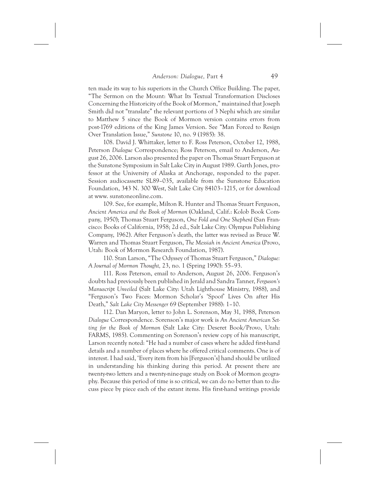ten made its way to his superiors in the Church Office Building. The paper, "The Sermon on the Mount: What Its Textual Transformation Discloses Concerning the Historicity of the Book of Mormon," maintained that Joseph Smith did not "translate" the relevant portions of 3 Nephi which are similar to Matthew 5 since the Book of Mormon version contains errors from post-1769 editions of the King James Version. See "Man Forced to Resign Over Translation Issue," *Sunstone* 10, no. 9 (1985): 38.

108. David J. Whittaker, letter to F. Ross Peterson, October 12, 1988, Peterson *Dialogue* Correspondence; Ross Peterson, email to Anderson, August 26, 2006. Larson also presented the paper on Thomas Stuart Ferguson at the Sunstone Symposium in Salt Lake City in August 1989. Garth Jones, professor at the University of Alaska at Anchorage, responded to the paper. Session audiocassette SL89–035, available from the Sunstone Education Foundation, 343 N. 300 West, Salt Lake City 84103–1215, or for download at www. sunstoneonline.com.

109. See, for example, Milton R. Hunter and Thomas Stuart Ferguson, *Ancient America and the Book of Mormon* (Oakland, Calif.: Kolob Book Company, 1950); Thomas Stuart Ferguson, *One Fold and One Shepherd* (San Francisco: Books of California, 1958; 2d ed., Salt Lake City: Olympus Publishing Company, 1962). After Ferguson's death, the latter was revised as Bruce W. Warren and Thomas Stuart Ferguson, *The Messiah in Ancient America* (Provo, Utah: Book of Mormon Research Foundation, 1987).

110. Stan Larson, "The Odyssey of Thomas Stuart Ferguson," *Dialogue: A Journal of Mormon Thought,* 23, no. 1 (Spring 1990): 55–93.

111. Ross Peterson, email to Anderson, August 26, 2006. Ferguson's doubts had previously been published in Jerald and Sandra Tanner, *Ferguson's Manuscript Unveiled* (Salt Lake City: Utah Lighthouse Ministry, 1988), and "Ferguson's Two Faces: Mormon Scholar's 'Spoof' Lives On after His Death," *Salt Lake City Messenger* 69 (September 1988): 1–10.

112. Dan Maryon, letter to John L. Sorenson, May 31, 1988, Peterson *Dialogue* Correspondence. Sorenson's major work is *An Ancient American Setting for the Book of Mormon* (Salt Lake City: Deseret Book/Provo, Utah: FARMS, 1985). Commenting on Sorenson's review copy of his manuscript, Larson recently noted: "He had a number of cases where he added first-hand details and a number of places where he offered critical comments. One is of interest. I had said, 'Every item from his [Ferguson's] hand should be utilized in understanding his thinking during this period. At present there are twenty-two letters and a twenty-nine-page study on Book of Mormon geography. Because this period of time is so critical, we can do no better than to discuss piece by piece each of the extant items. His first-hand writings provide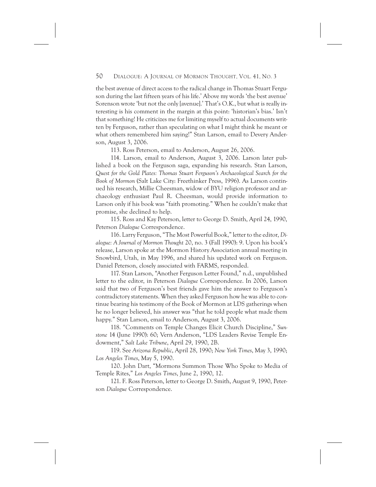the best avenue of direct access to the radical change in Thomas Stuart Ferguson during the last fifteen years of his life.' Above my words 'the best avenue' Sorenson wrote 'but not the only [avenue].' That's O.K., but what is really interesting is his comment in the margin at this point: 'historian's bias.' Isn't that something! He criticizes me for limiting myself to actual documents written by Ferguson, rather than speculating on what I might think he meant or what others remembered him saying!" Stan Larson, email to Devery Anderson, August 3, 2006.

113. Ross Peterson, email to Anderson, August 26, 2006.

114. Larson, email to Anderson, August 3, 2006. Larson later published a book on the Ferguson saga, expanding his research. Stan Larson, *Quest for the Gold Plates: Thomas Stuart Ferguson's Archaeological Search for the Book of Mormon* (Salt Lake City: Freethinker Press, 1996). As Larson continued his research, Millie Cheesman, widow of BYU religion professor and archaeology enthusiast Paul R. Cheesman, would provide information to Larson only if his book was "faith promoting." When he couldn't make that promise, she declined to help.

115. Ross and Kay Peterson, letter to George D. Smith, April 24, 1990, Peterson *Dialogue* Correspondence.

116. Larry Ferguson, "The Most Powerful Book," letter to the editor, *Dialogue: A Journal of Mormon Thought* 20, no. 3 (Fall 1990): 9. Upon his book's release, Larson spoke at the Mormon History Association annual meeting in Snowbird, Utah, in May 1996, and shared his updated work on Ferguson. Daniel Peterson, closely associated with FARMS, responded.

117. Stan Larson, "Another Ferguson Letter Found," n.d., unpublished letter to the editor, in Peterson *Dialogue* Correspondence. In 2006, Larson said that two of Ferguson's best friends gave him the answer to Ferguson's contradictory statements. When they asked Ferguson how he was able to continue bearing his testimony of the Book of Mormon at LDS gatherings when he no longer believed, his answer was "that he told people what made them happy." Stan Larson, email to Anderson, August 3, 2006.

118. "Comments on Temple Changes Elicit Church Discipline," *Sunstone* 14 (June 1990): 60; Vern Anderson, "LDS Leaders Revise Temple Endowment," *Salt Lake Tribune*, April 29, 1990, 2B.

119. See *Arizona Republic*, April 28, 1990; *New York Times*, May 3, 1990; *Los Angeles Times*, May 5, 1990.

120. John Dart, "Mormons Summon Those Who Spoke to Media of Temple Rites," *Los Angeles Times*, June 2, 1990, 12.

121. F. Ross Peterson, letter to George D. Smith, August 9, 1990, Peterson *Dialogue* Correspondence.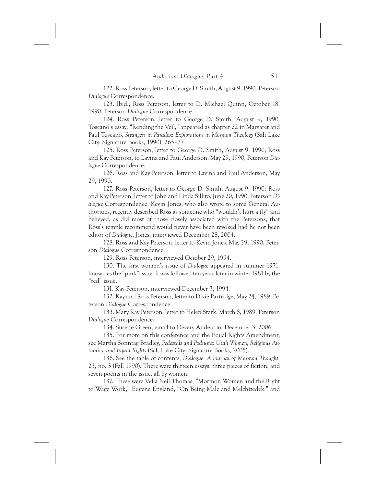122. Ross Peterson, letter to George D. Smith, August 9, 1990. Peterson *Dialogue* Correspondence.

123. Ibid.; Ross Peterson, letter to D. Michael Quinn, October 18, 1990, Peterson *Dialogue* Correspondence.

124. Ross Peterson, letter to George D. Smith, August 9, 1990. Toscano's essay, "Rending the Veil," appeared as chapter 22 in Margaret and Paul Toscano, *Strangers in Paradox: Explorations in Mormon Theology* (Salt Lake City: Signature Books, 1990), 265–77.

125. Ross Peterson, letter to George D. Smith, August 9, 1990; Ross and Kay Peterson, to Lavina and Paul Anderson, May 29, 1990, Peterson *Dialogue* Correspondence.

126. Ross and Kay Peterson, letter to Lavina and Paul Anderson, May 29, 1990.

127. Ross Peterson, letter to George D. Smith, August 9, 1990; Ross and Kay Peterson, letter to John and Linda Sillito, June 20, 1990, Peterson *Dialogue* Correspondence. Kevin Jones, who also wrote to some General Authorities, recently described Ross as someone who "wouldn't hurt a fly" and believed, as did most of those closely associated with the Petersons, that Ross's temple recommend would never have been revoked had he not been editor of *Dialogue*. Jones, interviewed December 28, 2004.

128. Ross and Kay Peterson, letter to Kevin Jones, May 29, 1990, Peterson *Dialogue* Correspondence.

129. Ross Peterson, interviewed October 29, 1994.

130. The first women's issue of *Dialogue* appeared in summer 1971, known as the "pink" issue. It was followed ten years later in winter 1981 by the "red" issue.

131. Kay Peterson, interviewed December 3, 1994.

132. Kay and Ross Peterson, letter to Dixie Partridge, May 24, 1989, Peterson *Dialogue* Correspondence.

133. Mary Kay Peterson, letter to Helen Stark, March 8, 1989, Peterson *Dialogue* Correspondence.

134. Susette Green, email to Devery Anderson, December 3, 2006.

135. For more on this conference and the Equal Rights Amendment, see Martha Sonntag Bradley, *Pedestals and Podiums: Utah Women, Religious Authority, and Equal Rights* (Salt Lake City: Signature Books, 2005).

136. See the table of contents, *Dialogue: A Journal of Mormon Thought,* 23, no. 3 (Fall 1990). There were thirteen essays, three pieces of fiction, and seven poems in the issue, all by women.

137. These were Vella Neil Thomas, "Mormon Women and the Right to Wage Work," Eugene England, "On Being Male and Melchizedek," and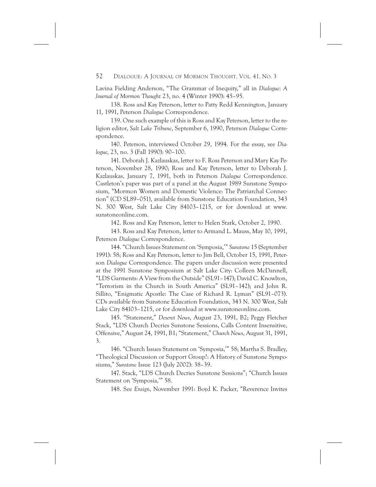Lavina Fielding Anderson, "The Grammar of Inequity," all in *Dialogue: A Journal of Mormon Thought* 23, no. 4 (Winter 1990): 45–95.

138. Ross and Kay Peterson, letter to Patty Redd Kennington, January 11, 1991, Peterson *Dialogue* Correspondence.

139. One such example of this is Ross and Kay Peterson, letter to the religion editor, *Salt Lake Tribune*, September 6, 1990, Peterson *Dialogue* Correspondence.

140. Peterson, interviewed October 29, 1994. For the essay, see *Dialogue,* 23, no. 3 (Fall 1990): 90–100.

141. Deborah J. Kazlauskas, letter to F. Ross Peterson and Mary Kay Peterson, November 28, 1990; Ross and Kay Peterson, letter to Deborah J. Kazlauskas, January 7, 1991, both in Peterson *Dialogue* Correspondence. Castleton's paper was part of a panel at the August 1989 Sunstone Symposium, "Mormon Women and Domestic Violence: The Patriarchal Connection" (CD SL89–051), available from Sunstone Education Foundation, 343 N. 300 West, Salt Lake City 84103–1215, or for download at www. sunstoneonline.com.

142. Ross and Kay Peterson, letter to Helen Stark, October 2, 1990.

143. Ross and Kay Peterson, letter to Armand L. Mauss, May 10, 1991, Peterson *Dialogue* Correspondence.

144. "Church Issues Statement on 'Symposia,'" *Sunstone* 15 (September 1991): 58; Ross and Kay Peterson, letter to Jim Bell, October 15, 1991, Peterson *Dialogue* Correspondence. The papers under discussion were presented at the 1991 Sunstone Symposium at Salt Lake City: Colleen McDannell, "LDS Garments: A View from the Outside" (SL91–147); David C. Knowlton, "Terrorism in the Church in South America" (SL91–142); and John R. Sillito, "Enigmatic Apostle: The Case of Richard R. Lyman" (SL91–073). CDs available from Sunstone Education Foundation, 343 N. 300 West, Salt Lake City 84103–1215, or for download at www.sunstoneonline.com.

145. "Statement," *Deseret News*, August 23, 1991, B2; Peggy Fletcher Stack, "LDS Church Decries Sunstone Sessions, Calls Content Insensitive, Offensive," August 24, 1991, B1; "Statement," *Church News*, August 31, 1991, 3.

146. "Church Issues Statement on 'Symposia,'" 58; Martha S. Bradley, "Theological Discussion or Support Group?: A History of Sunstone Symposiums," *Sunstone* Issue 123 (July 2002): 38–39.

147. Stack, "LDS Church Decries Sunstone Sessions"; "Church Issues Statement on 'Symposia,'" 58.

148. See *Ensign*, November 1991: Boyd K. Packer, "Reverence Invites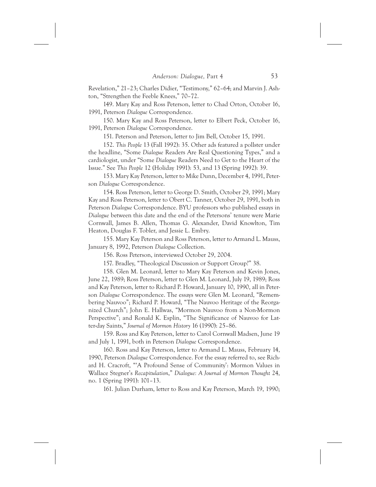Revelation," 21–23; Charles Didier, "Testimony," 62–64; and Marvin J. Ashton, "Strengthen the Feeble Knees," 70–72.

149. Mary Kay and Ross Peterson, letter to Chad Orton, October 16, 1991, Peterson *Dialogue* Correspondence.

150. Mary Kay and Ross Peterson, letter to Elbert Peck, October 16, 1991, Peterson *Dialogue* Correspondence.

151. Peterson and Peterson, letter to Jim Bell, October 15, 1991.

152. *This People* 13 (Fall 1992): 35. Other ads featured a pollster under the headline, "Some *Dialogue* Readers Are Real Questioning Types," and a cardiologist, under "Some *Dialogue* Readers Need to Get to the Heart of the Issue." See *This People* 12 (Holiday 1991): 53, and 13 (Spring 1992): 39.

153. Mary Kay Peterson, letter to Mike Dunn, December 4, 1991, Peterson *Dialogue* Correspondence.

154. Ross Peterson, letter to George D. Smith, October 29, 1991; Mary Kay and Ross Peterson, letter to Obert C. Tanner, October 29, 1991, both in Peterson *Dialogue* Correspondence. BYU professors who published essays in *Dialogue* between this date and the end of the Petersons' tenure were Marie Cornwall, James B. Allen, Thomas G. Alexander, David Knowlton, Tim Heaton, Douglas F. Tobler, and Jessie L. Embry.

155. Mary Kay Peterson and Ross Peterson, letter to Armand L. Mauss, January 8, 1992, Peterson *Dialogue* Collection.

156. Ross Peterson, interviewed October 29, 2004.

157. Bradley, "Theological Discussion or Support Group?" 38.

158. Glen M. Leonard, letter to Mary Kay Peterson and Kevin Jones, June 22, 1989; Ross Peterson, letter to Glen M. Leonard, July 19, 1989; Ross and Kay Peterson, letter to Richard P. Howard, January 10, 1990, all in Peterson *Dialogue* Correspondence. The essays were Glen M. Leonard, "Remembering Nauvoo"; Richard P. Howard, "The Nauvoo Heritage of the Reorganized Church"; John E. Hallwas, "Mormon Nauvoo from a Non-Mormon Perspective"; and Ronald K. Esplin, "The Significance of Nauvoo for Latter-day Saints," *Journal of Mormon History* 16 (1990): 25–86.

159. Ross and Kay Peterson, letter to Carol Cornwall Madsen, June 19 and July 1, 1991, both in Peterson *Dialogue* Correspondence.

160. Ross and Kay Peterson, letter to Armand L. Mauss, February 14, 1990, Peterson *Dialogue* Correspondence. For the essay referred to, see Richard H. Cracroft, "'A Profound Sense of Community': Mormon Values in Wallace Stegner's *Recapitulation*," *Dialogue: A Journal of Mormon Thought* 24, no. 1 (Spring 1991): 101–13.

161. Julian Durham, letter to Ross and Kay Peterson, March 19, 1990;